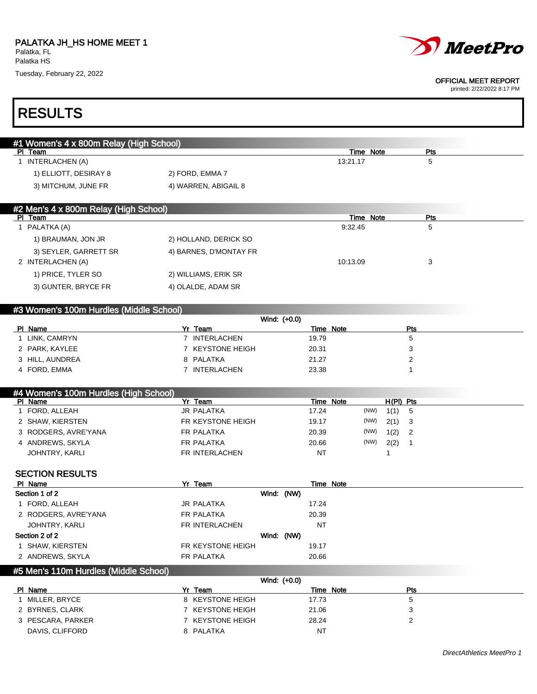

#### OFFICIAL MEET REPORT

printed: 2/22/2022 8:17 PM

# RESULTS

| #1 Women's 4 x 800m Relay (High School) |                        |           |     |
|-----------------------------------------|------------------------|-----------|-----|
| PI Team                                 |                        | Time Note | Pts |
| INTERLACHEN (A)                         |                        | 13:21.17  | 5   |
| 1) ELLIOTT, DESIRAY 8                   | 2) FORD, EMMA 7        |           |     |
| 3) MITCHUM, JUNE FR                     | 4) WARREN, ABIGAIL 8   |           |     |
|                                         |                        |           |     |
| #2 Men's 4 x 800m Relay (High School)   |                        |           |     |
|                                         |                        |           |     |
| Team<br>-PI                             |                        | Time Note | Pts |
| PALATKA (A)                             |                        | 9:32.45   | 5   |
| 1) BRAUMAN, JON JR                      | 2) HOLLAND, DERICK SO  |           |     |
| 3) SEYLER, GARRETT SR                   | 4) BARNES, D'MONTAY FR |           |     |
| 2 INTERLACHEN (A)                       |                        | 10:13.09  | 3   |

## #3 Women's 100m Hurdles (Middle School)

3) GUNTER, BRYCE FR 4) OLALDE, ADAM SR

| Wind: (+0.0)    |                  |           |     |  |  |  |
|-----------------|------------------|-----------|-----|--|--|--|
| PI Name         | Yr<br>Team       | Time Note | Pts |  |  |  |
| I LINK, CAMRYN  | INTERLACHEN      | 19.79     |     |  |  |  |
| 2 PARK, KAYLEE  | 7 KEYSTONE HEIGH | 20.31     |     |  |  |  |
| 3 HILL, AUNDREA | 8 PALATKA        | 21.27     |     |  |  |  |
| 4 FORD, EMMA    | INTERLACHEN      | 23.38     |     |  |  |  |

| #4 Women's 100m Hurdles (High School) |                   |              |      |             |     |
|---------------------------------------|-------------------|--------------|------|-------------|-----|
| PI Name                               | Yr Team           | Note<br>Time |      | $H(PI)$ Pts |     |
| 1 FORD, ALLEAH                        | <b>JR PALATKA</b> | 17.24        | (NW) | 1(1)        | -5  |
| 2 SHAW, KIERSTEN                      | FR KEYSTONE HEIGH | 19.17        | (NW) | 2(1)        | - 3 |
| 3 RODGERS, AVRE'YANA                  | FR PALATKA        | 20.39        | (NW) | 1(2)        | -2  |
| 4 ANDREWS, SKYLA                      | FR PALATKA        | 20.66        | (NW) | 2(2)        |     |
| JOHNTRY, KARLI                        | FR INTERLACHEN    | NT           |      |             |     |

#### SECTION RESULTS

| PI Name              | Yr Team           |            | Time Note |  |
|----------------------|-------------------|------------|-----------|--|
| Section 1 of 2       |                   | Wind: (NW) |           |  |
| 1 FORD, ALLEAH       | JR PALATKA        |            | 17.24     |  |
| 2 RODGERS, AVRE'YANA | FR PALATKA        |            | 20.39     |  |
| JOHNTRY, KARLI       | FR INTERLACHEN    |            | NT        |  |
| Section 2 of 2       |                   | Wind: (NW) |           |  |
| SHAW, KIERSTEN       | FR KEYSTONE HEIGH |            | 19.17     |  |
| 2 ANDREWS, SKYLA     | FR PALATKA        |            | 20.66     |  |
|                      |                   |            |           |  |

### #5 Men's 110m Hurdles (Middle School)

| Wind: (+0.0)      |                  |           |     |  |  |  |
|-------------------|------------------|-----------|-----|--|--|--|
| PI Name           | Yr∶<br>Team      | Time Note | Pts |  |  |  |
| MILLER. BRYCE     | 8 KEYSTONE HEIGH | 17.73     | G   |  |  |  |
| 2 BYRNES, CLARK   | 7 KEYSTONE HEIGH | 21.06     |     |  |  |  |
| 3 PESCARA, PARKER | 7 KEYSTONE HEIGH | 28.24     |     |  |  |  |
| DAVIS, CLIFFORD   | 8 PALATKA        | NT        |     |  |  |  |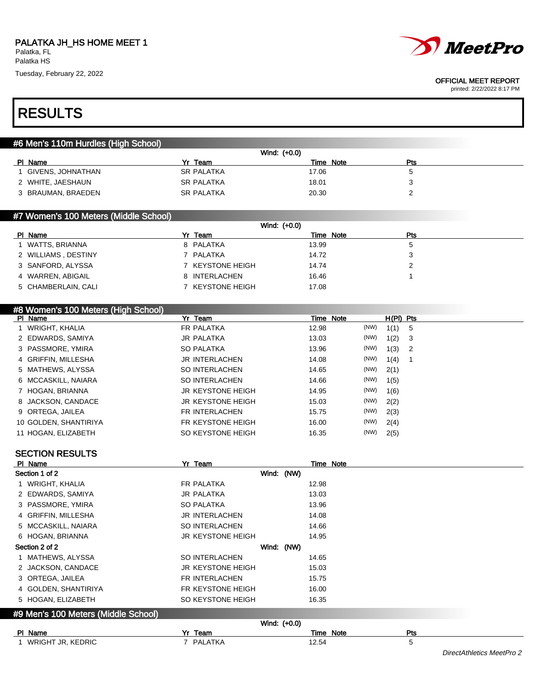



#### OFFICIAL MEET REPORT

printed: 2/22/2022 8:17 PM

## RESULTS

| #6 Men's 110m Hurdles (High School) |  |
|-------------------------------------|--|
|-------------------------------------|--|

| Wind: (+0.0)       |                   |           |     |  |  |  |  |
|--------------------|-------------------|-----------|-----|--|--|--|--|
| Name<br>PL         | Yr Team           | Time Note | Pts |  |  |  |  |
| GIVENS, JOHNATHAN  | <b>SR PALATKA</b> | 17.06     |     |  |  |  |  |
| 2 WHITE, JAESHAUN  | <b>SR PALATKA</b> | 18.01     |     |  |  |  |  |
| 3 BRAUMAN, BRAEDEN | <b>SR PALATKA</b> | 20.30     |     |  |  |  |  |
|                    |                   |           |     |  |  |  |  |

### #7 Women's 100 Meters (Middle School)

|         | Wind: (+0.0)        |  |                  |       |           |            |  |
|---------|---------------------|--|------------------|-------|-----------|------------|--|
| PI Name |                     |  | Yr Team          |       | Time Note | <b>Pts</b> |  |
|         | 1 WATTS, BRIANNA    |  | 8 PALATKA        | 13.99 |           | 5          |  |
|         | 2 WILLIAMS, DESTINY |  | 7 PALATKA        | 14.72 |           | 3          |  |
|         | 3 SANFORD, ALYSSA   |  | 7 KEYSTONE HEIGH | 14.74 |           |            |  |
|         | 4 WARREN, ABIGAIL   |  | 8 INTERLACHEN    | 16.46 |           |            |  |
|         | 5 CHAMBERLAIN, CALI |  | 7 KEYSTONE HEIGH | 17.08 |           |            |  |

## #8 Women's 100 Meters (High School)

| PI Name               | Yr Team                  | Time Note |      | $H(PI)$ Pts |  |
|-----------------------|--------------------------|-----------|------|-------------|--|
| 1 WRIGHT, KHALIA      | FR PALATKA               | 12.98     | (NW) | $1(1)$ 5    |  |
| 2 EDWARDS, SAMIYA     | <b>JR PALATKA</b>        | 13.03     | (NW) | 1(2) 3      |  |
| 3 PASSMORE, YMIRA     | <b>SO PALATKA</b>        | 13.96     | (NW) | $1(3)$ 2    |  |
| 4 GRIFFIN, MILLESHA   | <b>JR INTERLACHEN</b>    | 14.08     | (NW) | 1(4)        |  |
| 5 MATHEWS, ALYSSA     | SO INTERLACHEN           | 14.65     | (NW) | 2(1)        |  |
| 6 MCCASKILL, NAIARA   | SO INTERLACHEN           | 14.66     | (NW) | 1(5)        |  |
| 7 HOGAN, BRIANNA      | <b>JR KEYSTONE HEIGH</b> | 14.95     | (NW) | 1(6)        |  |
| 8 JACKSON, CANDACE    | JR KEYSTONE HEIGH        | 15.03     | (NW) | 2(2)        |  |
| 9 ORTEGA, JAILEA      | FR INTERLACHEN           | 15.75     | (NW) | 2(3)        |  |
| 10 GOLDEN, SHANTIRIYA | FR KEYSTONE HEIGH        | 16.00     | (NW) | 2(4)        |  |
| 11 HOGAN, ELIZABETH   | SO KEYSTONE HEIGH        | 16.35     | (NW) | 2(5)        |  |

#### SECTION RESULTS

| PI Name              |                                     | Yr Team                  |            |       | Time Note |  |
|----------------------|-------------------------------------|--------------------------|------------|-------|-----------|--|
| Section 1 of 2       |                                     |                          | Wind: (NW) |       |           |  |
| 1 WRIGHT, KHALIA     |                                     | FR PALATKA               |            | 12.98 |           |  |
| 2 EDWARDS, SAMIYA    |                                     | <b>JR PALATKA</b>        |            | 13.03 |           |  |
| 3 PASSMORE, YMIRA    |                                     | <b>SO PALATKA</b>        |            | 13.96 |           |  |
| 4 GRIFFIN, MILLESHA  |                                     | JR INTERLACHEN           |            | 14.08 |           |  |
| 5 MCCASKILL, NAIARA  |                                     | SO INTERLACHEN           |            | 14.66 |           |  |
| 6 HOGAN, BRIANNA     |                                     | <b>JR KEYSTONE HEIGH</b> |            | 14.95 |           |  |
| Section 2 of 2       |                                     |                          | Wind: (NW) |       |           |  |
| 1 MATHEWS, ALYSSA    |                                     | SO INTERLACHEN           |            | 14.65 |           |  |
| 2 JACKSON, CANDACE   |                                     | <b>JR KEYSTONE HEIGH</b> |            | 15.03 |           |  |
| 3 ORTEGA, JAILEA     |                                     | FR INTERLACHEN           |            | 15.75 |           |  |
| 4 GOLDEN, SHANTIRIYA |                                     | FR KEYSTONE HEIGH        |            | 16.00 |           |  |
| 5 HOGAN, ELIZABETH   |                                     | SO KEYSTONE HEIGH        |            | 16.35 |           |  |
|                      | #9 Men's 100 Meters (Middle School) |                          |            |       |           |  |
|                      | Wind: (+0.0)                        |                          |            |       |           |  |

| PI Name                        | \/.<br>Team<br><u></u> | Note<br>Time   | . |
|--------------------------------|------------------------|----------------|---|
| <b>KEDRIC</b><br>WRIGHT<br>UR. | PALATKA                | 2.54<br>$\sim$ |   |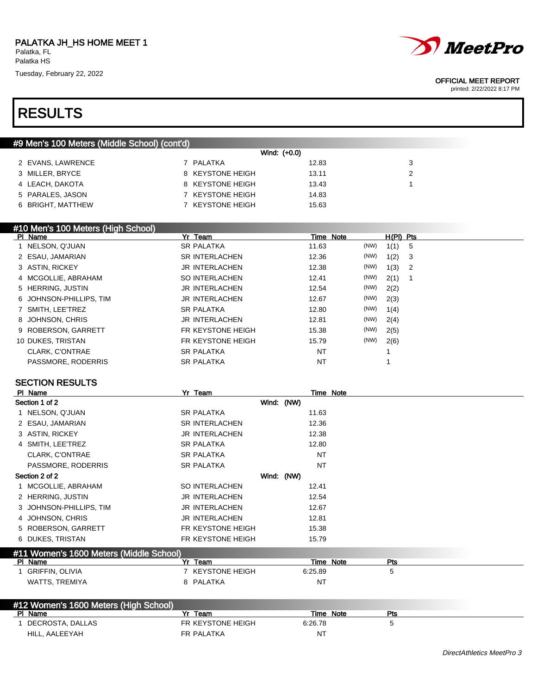



#### OFFICIAL MEET REPORT

printed: 2/22/2022 8:17 PM

## RESULTS

|                   | #9 Men's 100 Meters (Middle School) (cont'd) |                  |              |  |
|-------------------|----------------------------------------------|------------------|--------------|--|
|                   |                                              |                  | Wind: (+0.0) |  |
| 2 EVANS, LAWRENCE |                                              | 7 PALATKA        | 12.83        |  |
| 3 MILLER, BRYCE   |                                              | 8 KEYSTONE HEIGH | 13.11        |  |
| 4 LEACH, DAKOTA   |                                              | 8 KEYSTONE HEIGH | 13.43        |  |
| 5 PARALES, JASON  |                                              | 7 KEYSTONE HEIGH | 14.83        |  |
| 6 BRIGHT, MATTHEW |                                              | 7 KEYSTONE HEIGH | 15.63        |  |
|                   |                                              |                  |              |  |

| #10 Men's 100 Meters (High School) |                       |           |      |             |                |
|------------------------------------|-----------------------|-----------|------|-------------|----------------|
| PI Name                            | Yr Team               | Time Note |      | $H(PI)$ Pts |                |
| 1 NELSON, Q'JUAN                   | <b>SR PALATKA</b>     | 11.63     | (NW) | 1(1)        | -5             |
| 2 ESAU, JAMARIAN                   | <b>SR INTERLACHEN</b> | 12.36     | (NW) | 1(2)        | - 3            |
| 3 ASTIN, RICKEY                    | JR INTERLACHEN        | 12.38     | (NW) | 1(3)        | $\overline{2}$ |
| 4 MCGOLLIE, ABRAHAM                | SO INTERLACHEN        | 12.41     | (NW) | 2(1)        | -1             |
| 5 HERRING, JUSTIN                  | JR INTERLACHEN        | 12.54     | (NW) | 2(2)        |                |
| 6 JOHNSON-PHILLIPS. TIM            | JR INTERLACHEN        | 12.67     | (NW) | 2(3)        |                |
| 7 SMITH, LEE'TREZ                  | <b>SR PALATKA</b>     | 12.80     | (NW) | 1(4)        |                |
| 8 JOHNSON, CHRIS                   | JR INTERLACHEN        | 12.81     | (NW) | 2(4)        |                |
| 9 ROBERSON, GARRETT                | FR KEYSTONE HEIGH     | 15.38     | (NW) | 2(5)        |                |
| 10 DUKES, TRISTAN                  | FR KEYSTONE HEIGH     | 15.79     | (NW) | 2(6)        |                |
| CLARK, C'ONTRAE                    | <b>SR PALATKA</b>     | NT        |      |             |                |
| PASSMORE, RODERRIS                 | <b>SR PALATKA</b>     | <b>NT</b> |      |             |                |

## SECTION RESULTS

| PI Name                                 | Yr Team               |           | Time Note               |  |  |
|-----------------------------------------|-----------------------|-----------|-------------------------|--|--|
| Section 1 of 2                          | Wind: (NW)            |           |                         |  |  |
| 1 NELSON, Q'JUAN                        | <b>SR PALATKA</b>     | 11.63     |                         |  |  |
| 2 ESAU, JAMARIAN                        | <b>SR INTERLACHEN</b> | 12.36     |                         |  |  |
| 3 ASTIN, RICKEY                         | <b>JR INTERLACHEN</b> | 12.38     |                         |  |  |
| 4 SMITH, LEE'TREZ                       | <b>SR PALATKA</b>     | 12.80     |                         |  |  |
| CLARK, C'ONTRAE                         | <b>SR PALATKA</b>     | NT        |                         |  |  |
| PASSMORE, RODERRIS                      | <b>SR PALATKA</b>     | <b>NT</b> |                         |  |  |
| Section 2 of 2                          | Wind: (NW)            |           |                         |  |  |
| 1 MCGOLLIE, ABRAHAM                     | SO INTERLACHEN        | 12.41     |                         |  |  |
| 2 HERRING, JUSTIN                       | <b>JR INTERLACHEN</b> | 12.54     |                         |  |  |
| 3 JOHNSON-PHILLIPS, TIM                 | <b>JR INTERLACHEN</b> | 12.67     |                         |  |  |
| 4 JOHNSON, CHRIS                        | <b>JR INTERLACHEN</b> | 12.81     |                         |  |  |
| 5 ROBERSON, GARRETT                     | FR KEYSTONE HEIGH     | 15.38     |                         |  |  |
| 6 DUKES, TRISTAN                        | FR KEYSTONE HEIGH     | 15.79     |                         |  |  |
| #11 Women's 1600 Meters (Middle School) |                       |           |                         |  |  |
| PI Name                                 | Yr<br>Team            |           | Time Note<br><b>Pts</b> |  |  |

| ,,,,,,,                | .                     | 111101100 | . |  |
|------------------------|-----------------------|-----------|---|--|
| <b>GRIFFIN, OLIVIA</b> | <b>KEYSTONE HEIGH</b> | 6:25.89   |   |  |
| TREMIYA<br>WATTS.      | PALATKA               | N7        |   |  |

| #12 Women's 1600 Meters (High School) |                   |                     |     |  |  |  |
|---------------------------------------|-------------------|---------------------|-----|--|--|--|
| PI Name                               | v.<br>Team        | <b>Note</b><br>Time | Pts |  |  |  |
| DECROSTA, DALLAS                      | FR KEYSTONE HEIGH | 6:26.78             |     |  |  |  |
| HILL, AALEEYAH                        | FR PALATKA        | N1                  |     |  |  |  |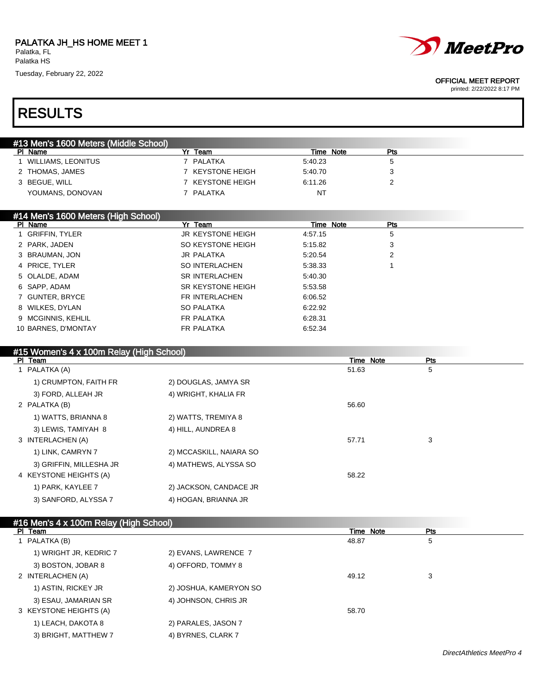

#### OFFICIAL MEET REPORT

printed: 2/22/2022 8:17 PM

## RESULTS

| #13 Men's 1600 Meters (Middle School) |                       |           |     |  |
|---------------------------------------|-----------------------|-----------|-----|--|
| Name<br><b>PI</b>                     | Team                  | Time Note | Pts |  |
| WILLIAMS, LEONITUS                    | PALATKA               | 5:40.23   | 5.  |  |
| 2 THOMAS, JAMES                       | <b>KEYSTONE HEIGH</b> | 5:40.70   |     |  |
| 3 BEGUE, WILL                         | <b>KEYSTONE HEIGH</b> | 6:11.26   |     |  |
| YOUMANS, DONOVAN                      | PALATKA               | NT        |     |  |

## #14 Men's 1600 Meters (High School)

| PI Name             | Yr Team                  | Time Note | Pts |  |
|---------------------|--------------------------|-----------|-----|--|
| 1 GRIFFIN, TYLER    | <b>JR KEYSTONE HEIGH</b> | 4:57.15   | 5   |  |
| 2 PARK, JADEN       | SO KEYSTONE HEIGH        | 5:15.82   | 3   |  |
| 3 BRAUMAN, JON      | <b>JR PALATKA</b>        | 5:20.54   | 2   |  |
| 4 PRICE, TYLER      | SO INTERLACHEN           | 5:38.33   |     |  |
| 5 OLALDE, ADAM      | SR INTERLACHEN           | 5:40.30   |     |  |
| 6 SAPP, ADAM        | SR KEYSTONE HEIGH        | 5:53.58   |     |  |
| 7 GUNTER, BRYCE     | FR INTERLACHEN           | 6:06.52   |     |  |
| 8 WILKES, DYLAN     | <b>SO PALATKA</b>        | 6:22.92   |     |  |
| 9 MCGINNIS, KEHLIL  | FR PALATKA               | 6:28.31   |     |  |
| 10 BARNES, D'MONTAY | <b>FR PALATKA</b>        | 6:52.34   |     |  |
|                     |                          |           |     |  |

## #15 Women's 4 x 100m Relay (High School) Pl Team Time Note Pts 1 PALATKA (A) 51.63 5 S 1) CRUMPTON, FAITH FR 2) DOUGLAS, JAMYA SR 3) FORD, ALLEAH JR 4) WRIGHT, KHALIA FR 2 PALATKA (B) 56.60 1) WATTS, BRIANNA 8 2) WATTS, TREMIYA 8 3) LEWIS, TAMIYAH 8 4) HILL, AUNDREA 8 3 INTERLACHEN (A) 57.71 3 1) LINK, CAMRYN 7 2) MCCASKILL, NAIARA SO 3) GRIFFIN, MILLESHA JR 4) MATHEWS, ALYSSA SO 4 KEYSTONE HEIGHTS (A) 58.22 1) PARK, KAYLEE 7 2) JACKSON, CANDACE JR 3) SANFORD, ALYSSA 7 4) HOGAN, BRIANNA JR

| #16 Men's 4 x 100m Relay (High School) |                        |           |     |  |  |  |
|----------------------------------------|------------------------|-----------|-----|--|--|--|
| PI Team                                |                        | Time Note | Pts |  |  |  |
| 1 PALATKA (B)                          |                        | 48.87     | 5   |  |  |  |
| 1) WRIGHT JR, KEDRIC 7                 | 2) EVANS, LAWRENCE 7   |           |     |  |  |  |
| 3) BOSTON, JOBAR 8                     | 4) OFFORD, TOMMY 8     |           |     |  |  |  |
| 2 INTERLACHEN (A)                      |                        | 49.12     | 3   |  |  |  |
| 1) ASTIN, RICKEY JR                    | 2) JOSHUA, KAMERYON SO |           |     |  |  |  |
| 3) ESAU, JAMARIAN SR                   | 4) JOHNSON, CHRIS JR   |           |     |  |  |  |
| 3 KEYSTONE HEIGHTS (A)                 |                        | 58.70     |     |  |  |  |
| 1) LEACH, DAKOTA 8                     | 2) PARALES, JASON 7    |           |     |  |  |  |
| 3) BRIGHT, MATTHEW 7                   | 4) BYRNES, CLARK 7     |           |     |  |  |  |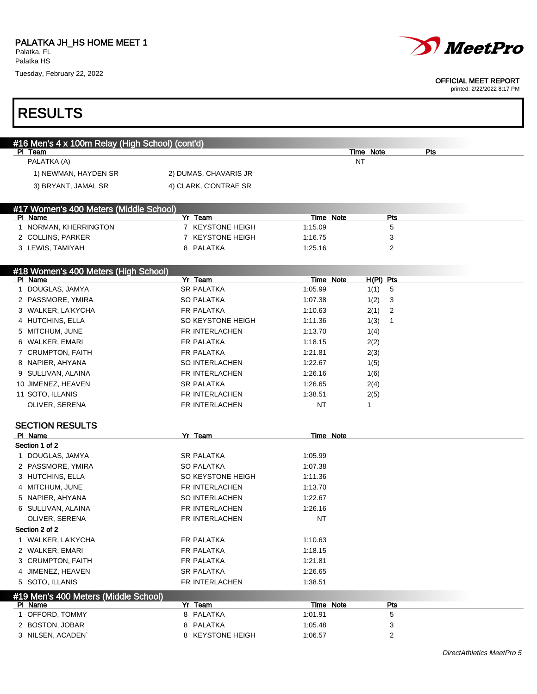



#### OFFICIAL MEET REPORT

| #16 Men's 4 x 100m Relay (High School) (cont'd) |                             |           |                      |     |
|-------------------------------------------------|-----------------------------|-----------|----------------------|-----|
| PI Team<br>PALATKA (A)                          |                             |           | Time Note<br>ΝT      | Pts |
|                                                 |                             |           |                      |     |
| 1) NEWMAN, HAYDEN SR                            | 2) DUMAS, CHAVARIS JR       |           |                      |     |
| 3) BRYANT, JAMAL SR                             | 4) CLARK, C'ONTRAE SR       |           |                      |     |
| #17 Women's 400 Meters (Middle School)          |                             |           |                      |     |
| PI Name                                         | Yr Team<br>7 KEYSTONE HEIGH | Time Note | Pts                  |     |
| 1 NORMAN, KHERRINGTON                           |                             | 1:15.09   | 5                    |     |
| 2 COLLINS, PARKER                               | 7 KEYSTONE HEIGH            | 1:16.75   | 3                    |     |
| 3 LEWIS, TAMIYAH                                | 8 PALATKA                   | 1:25.16   | 2                    |     |
| #18 Women's 400 Meters (High School)<br>PI Name | Yr Team                     | Time Note | $H(PI)$ Pts          |     |
| 1 DOUGLAS, JAMYA                                | <b>SR PALATKA</b>           | 1:05.99   | 1(1)<br>5            |     |
| 2 PASSMORE, YMIRA                               | <b>SO PALATKA</b>           | 1:07.38   | 1(2)<br>3            |     |
| 3 WALKER, LA'KYCHA                              | FR PALATKA                  | 1:10.63   | 2(1)<br>2            |     |
| 4 HUTCHINS, ELLA                                | SO KEYSTONE HEIGH           | 1:11.36   | 1(3)<br>$\mathbf{1}$ |     |
| 5 MITCHUM, JUNE                                 | FR INTERLACHEN              | 1:13.70   | 1(4)                 |     |
| 6 WALKER, EMARI                                 | FR PALATKA                  | 1:18.15   |                      |     |
| 7 CRUMPTON, FAITH                               | FR PALATKA                  | 1:21.81   | 2(2)<br>2(3)         |     |
| 8 NAPIER, AHYANA                                | SO INTERLACHEN              | 1:22.67   | 1(5)                 |     |
| 9 SULLIVAN, ALAINA                              | FR INTERLACHEN              | 1:26.16   | 1(6)                 |     |
| 10 JIMENEZ, HEAVEN                              | <b>SR PALATKA</b>           | 1:26.65   | 2(4)                 |     |
| 11 SOTO, ILLANIS                                | FR INTERLACHEN              | 1:38.51   | 2(5)                 |     |
| OLIVER, SERENA                                  | FR INTERLACHEN              | <b>NT</b> | 1                    |     |
|                                                 |                             |           |                      |     |
| <b>SECTION RESULTS</b><br>PI Name               | Yr Team                     | Time Note |                      |     |
| Section 1 of 2                                  |                             |           |                      |     |
| 1 DOUGLAS, JAMYA                                | <b>SR PALATKA</b>           | 1:05.99   |                      |     |
| 2 PASSMORE, YMIRA                               | <b>SO PALATKA</b>           | 1:07.38   |                      |     |
| 3 HUTCHINS, ELLA                                | SO KEYSTONE HEIGH           | 1:11.36   |                      |     |
| 4 MITCHUM, JUNE                                 | FR INTERLACHEN              | 1:13.70   |                      |     |
| 5 NAPIER, AHYANA                                | SO INTERLACHEN              | 1:22.67   |                      |     |
| 6 SULLIVAN, ALAINA                              | FR INTERLACHEN              | 1:26.16   |                      |     |
| OLIVER, SERENA                                  | FR INTERLACHEN              | <b>NT</b> |                      |     |
| Section 2 of 2                                  |                             |           |                      |     |
| 1 WALKER, LA'KYCHA                              | FR PALATKA                  | 1:10.63   |                      |     |
| 2 WALKER, EMARI                                 | FR PALATKA                  | 1:18.15   |                      |     |
| 3 CRUMPTON, FAITH                               | FR PALATKA                  | 1:21.81   |                      |     |
| 4 JIMENEZ, HEAVEN                               | <b>SR PALATKA</b>           | 1:26.65   |                      |     |
| 5 SOTO, ILLANIS                                 | FR INTERLACHEN              | 1:38.51   |                      |     |
| #19 Men's 400 Meters (Middle School)            |                             |           |                      |     |
| PI Name                                         | Yr Team                     | Time Note | <b>Pts</b>           |     |
| 1 OFFORD, TOMMY                                 | 8 PALATKA                   | 1:01.91   | 5                    |     |
| 2 BOSTON, JOBAR                                 | 8 PALATKA                   | 1:05.48   | 3                    |     |
| 3 NILSEN, ACADEN`                               | 8 KEYSTONE HEIGH            | 1:06.57   | 2                    |     |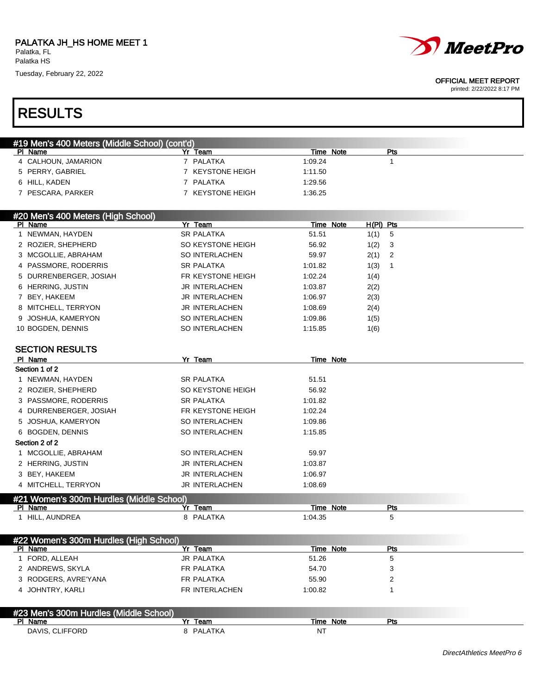

#### OFFICIAL MEET REPORT

printed: 2/22/2022 8:17 PM

## RESULTS

| #19 Men's 400 Meters (Middle School) (cont'd) |                       |              |     |  |
|-----------------------------------------------|-----------------------|--------------|-----|--|
| PI Name                                       | Yr Team               | Note<br>Time | Pts |  |
| 4 CALHOUN, JAMARION                           | PALATKA               | 1:09.24      |     |  |
| 5 PERRY, GABRIEL                              | <b>KEYSTONE HEIGH</b> | 1:11.50      |     |  |
| 6 HILL, KADEN                                 | PALATKA               | 1:29.56      |     |  |
| 7 PESCARA, PARKER                             | KEYSTONE HEIGH        | 1:36.25      |     |  |
|                                               |                       |              |     |  |

| #20 Men's 400 Meters (High School), |                       |           |             |                            |
|-------------------------------------|-----------------------|-----------|-------------|----------------------------|
| PI Name                             | Yr Team               | Time Note | $H(PI)$ Pts |                            |
| 1 NEWMAN, HAYDEN                    | <b>SR PALATKA</b>     | 51.51     | 1(1)        | 5                          |
| 2 ROZIER, SHEPHERD                  | SO KEYSTONE HEIGH     | 56.92     | 1(2)        | - 3                        |
| 3 MCGOLLIE, ABRAHAM                 | SO INTERLACHEN        | 59.97     | 2(1)        | $\overline{\phantom{0}}^2$ |
| 4 PASSMORE, RODERRIS                | <b>SR PALATKA</b>     | 1:01.82   | 1(3)        |                            |
| 5 DURRENBERGER, JOSIAH              | FR KEYSTONE HEIGH     | 1:02.24   | 1(4)        |                            |
| 6 HERRING, JUSTIN                   | JR INTERLACHEN        | 1:03.87   | 2(2)        |                            |
| 7 BEY, HAKEEM                       | <b>JR INTERLACHEN</b> | 1:06.97   | 2(3)        |                            |
| 8 MITCHELL, TERRYON                 | <b>JR INTERLACHEN</b> | 1:08.69   | 2(4)        |                            |
| 9 JOSHUA, KAMERYON                  | SO INTERLACHEN        | 1:09.86   | 1(5)        |                            |
| 10 BOGDEN, DENNIS                   | SO INTERLACHEN        | 1:15.85   | 1(6)        |                            |

#### SECTION RESULTS

| PI Name                | Yr<br>Team                               | Time Note        |  |  |  |  |
|------------------------|------------------------------------------|------------------|--|--|--|--|
| Section 1 of 2         |                                          |                  |  |  |  |  |
| 1 NEWMAN, HAYDEN       | <b>SR PALATKA</b>                        | 51.51            |  |  |  |  |
| 2 ROZIER, SHEPHERD     | SO KEYSTONE HEIGH                        | 56.92            |  |  |  |  |
| 3 PASSMORE, RODERRIS   | <b>SR PALATKA</b>                        | 1:01.82          |  |  |  |  |
| 4 DURRENBERGER, JOSIAH | FR KEYSTONE HEIGH                        | 1:02.24          |  |  |  |  |
| 5 JOSHUA, KAMERYON     | SO INTERLACHEN                           | 1:09.86          |  |  |  |  |
| 6 BOGDEN, DENNIS       | SO INTERLACHEN                           | 1:15.85          |  |  |  |  |
| Section 2 of 2         |                                          |                  |  |  |  |  |
| 1 MCGOLLIE, ABRAHAM    | SO INTERLACHEN                           | 59.97            |  |  |  |  |
| 2 HERRING, JUSTIN      | <b>JR INTERLACHEN</b>                    | 1:03.87          |  |  |  |  |
| 3 BEY, HAKEEM          | JR INTERLACHEN                           | 1:06.97          |  |  |  |  |
| 4 MITCHELL, TERRYON    | <b>JR INTERLACHEN</b>                    | 1:08.69          |  |  |  |  |
|                        | #21 Women's 300m Hurdles (Middle School) |                  |  |  |  |  |
| PI Name                | Yr<br>Team                               | Time Note<br>Pts |  |  |  |  |

1 HILL, AUNDREA 8 PALATKA 1:04.35 5

| #22 Women's 300m Hurdles (High School) |                |           |         |  |  |  |
|----------------------------------------|----------------|-----------|---------|--|--|--|
| PI Name                                | Yr Team        | Time Note | Pts     |  |  |  |
| FORD, ALLEAH                           | JR PALATKA     | 51.26     | 5       |  |  |  |
| 2 ANDREWS, SKYLA                       | FR PALATKA     | 54.70     | っ<br>۰J |  |  |  |
| 3 RODGERS, AVRE'YANA                   | FR PALATKA     | 55.90     |         |  |  |  |
| 4 JOHNTRY, KARLI                       | FR INTERLACHEN | 1:00.82   |         |  |  |  |
| #23 Men's 300m Hurdles (Middle School) |                |           |         |  |  |  |
| PI Name                                | Team<br>Yr     | Time Note | Pts     |  |  |  |
| DAVIS, CLIFFORD                        | 8 PALATKA      | NT        |         |  |  |  |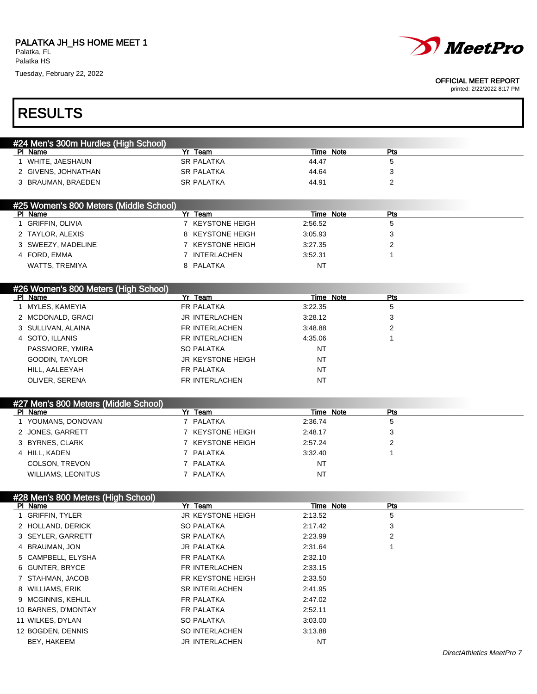

#### OFFICIAL MEET REPORT

| <b>RESULTS</b>                         |                              |                      |                 |  |
|----------------------------------------|------------------------------|----------------------|-----------------|--|
| #24 Men's 300m Hurdles (High School)   |                              |                      |                 |  |
| PI Name                                | Yr Team                      | Time Note            | Pts             |  |
| 1 WHITE, JAESHAUN                      | <b>SR PALATKA</b>            | 44.47                | 5               |  |
| 2 GIVENS, JOHNATHAN                    | <b>SR PALATKA</b>            | 44.64                | 3               |  |
| 3 BRAUMAN, BRAEDEN                     | <b>SR PALATKA</b>            | 44.91                | 2               |  |
| #25 Women's 800 Meters (Middle School) |                              |                      |                 |  |
| PI Name                                | Yr Team                      | Time Note            | Pts             |  |
| 1 GRIFFIN, OLIVIA                      | 7 KEYSTONE HEIGH             | 2:56.52              | 5               |  |
| 2 TAYLOR, ALEXIS                       | 8 KEYSTONE HEIGH             | 3:05.93              | 3               |  |
| 3 SWEEZY, MADELINE                     | 7 KEYSTONE HEIGH             | 3:27.35              | 2               |  |
| 4 FORD, EMMA                           | 7 INTERLACHEN                | 3:52.31              | 1               |  |
| WATTS, TREMIYA                         | 8 PALATKA                    | <b>NT</b>            |                 |  |
| #26 Women's 800 Meters (High School)   |                              |                      |                 |  |
| PI Name                                | Yr Team                      | Time Note            | Pts             |  |
| 1 MYLES, KAMEYIA                       | FR PALATKA                   | 3:22.35              | 5               |  |
| 2 MCDONALD, GRACI                      | <b>JR INTERLACHEN</b>        | 3:28.12              | 3               |  |
| 3 SULLIVAN, ALAINA                     | FR INTERLACHEN               | 3:48.88              | 2               |  |
| 4 SOTO, ILLANIS                        | FR INTERLACHEN               | 4:35.06              | 1               |  |
| PASSMORE, YMIRA                        | <b>SO PALATKA</b>            | <b>NT</b>            |                 |  |
| GOODIN, TAYLOR                         | <b>JR KEYSTONE HEIGH</b>     | <b>NT</b>            |                 |  |
| HILL, AALEEYAH                         | FR PALATKA                   | <b>NT</b>            |                 |  |
| OLIVER, SERENA                         | FR INTERLACHEN               | <b>NT</b>            |                 |  |
| #27 Men's 800 Meters (Middle School)   |                              |                      |                 |  |
| PI Name<br>1 YOUMANS, DONOVAN          | Yr Team<br>7 PALATKA         | Time Note<br>2:36.74 | Pts<br>5        |  |
| 2 JONES, GARRETT                       | 7 KEYSTONE HEIGH             | 2:48.17              | 3               |  |
| 3 BYRNES, CLARK                        | 7 KEYSTONE HEIGH             | 2:57.24              | $\overline{2}$  |  |
| 4 HILL, KADEN                          | 7 PALATKA                    | 3:32.40              | $\mathbf{1}$    |  |
| COLSON, TREVON                         | 7 PALATKA                    | NT                   |                 |  |
| <b>WILLIAMS, LEONITUS</b>              | 7 PALATKA                    | NT                   |                 |  |
|                                        |                              |                      |                 |  |
| #28 Men's 800 Meters (High School)     |                              |                      |                 |  |
| PI Name<br>1 GRIFFIN, TYLER            | Yr Team<br>JR KEYSTONE HEIGH | Time Note<br>2:13.52 | <b>Pts</b><br>5 |  |
| 2 HOLLAND, DERICK                      | SO PALATKA                   | 2:17.42              | 3               |  |
| 3 SEYLER, GARRETT                      | <b>SR PALATKA</b>            | 2:23.99              | 2               |  |
| 4 BRAUMAN, JON                         | <b>JR PALATKA</b>            | 2:31.64              | 1               |  |
| 5 CAMPBELL, ELYSHA                     | FR PALATKA                   | 2:32.10              |                 |  |
| 6 GUNTER, BRYCE                        | FR INTERLACHEN               | 2:33.15              |                 |  |
| 7 STAHMAN, JACOB                       | FR KEYSTONE HEIGH            | 2:33.50              |                 |  |
|                                        | SR INTERLACHEN               |                      |                 |  |
| 8 WILLIAMS, ERIK                       | FR PALATKA                   | 2:41.95              |                 |  |
| 9 MCGINNIS, KEHLIL                     |                              | 2:47.02              |                 |  |
| 10 BARNES, D'MONTAY                    | FR PALATKA                   | 2:52.11              |                 |  |
| 11 WILKES, DYLAN<br>12 BOGDEN, DENNIS  | SO PALATKA<br>SO INTERLACHEN | 3:03.00<br>3:13.88   |                 |  |
| BEY, HAKEEM                            | JR INTERLACHEN               | NT                   |                 |  |
|                                        |                              |                      |                 |  |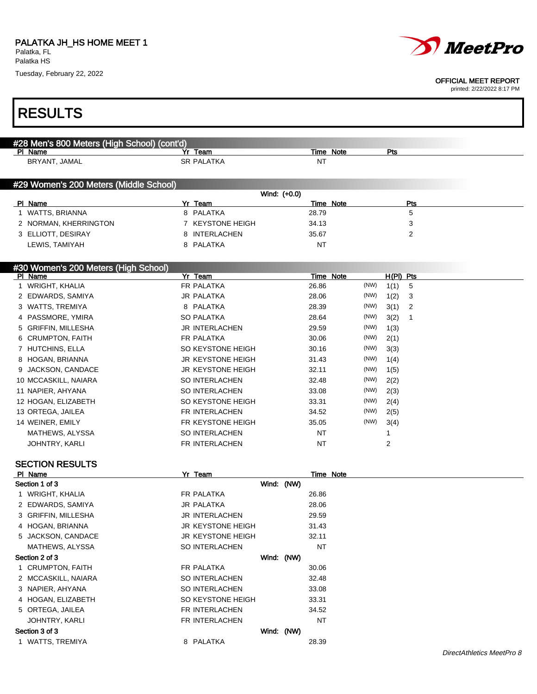Г



#### OFFICIAL MEET REPORT

printed: 2/22/2022 8:17 PM

٦

| <b>RESULTS</b>                              |                              |              |       |                  |      |             |              |  |
|---------------------------------------------|------------------------------|--------------|-------|------------------|------|-------------|--------------|--|
|                                             |                              |              |       |                  |      |             |              |  |
| #28 Men's 800 Meters (High School) (cont'd) |                              |              |       |                  |      |             |              |  |
| PI Name<br>BRYANT, JAMAL                    | Yr Team<br><b>SR PALATKA</b> |              | ΝT    | Time Note        |      | Pts         |              |  |
|                                             |                              |              |       |                  |      |             |              |  |
| #29 Women's 200 Meters (Middle School)      |                              |              |       |                  |      |             |              |  |
|                                             |                              | Wind: (+0.0) |       |                  |      |             |              |  |
| PI Name                                     | Yr Team                      |              |       | <b>Time Note</b> |      |             | Pts          |  |
| 1 WATTS, BRIANNA                            | 8 PALATKA                    |              | 28.79 |                  |      |             | 5            |  |
| 2 NORMAN, KHERRINGTON                       | 7 KEYSTONE HEIGH             |              | 34.13 |                  |      |             | 3            |  |
| 3 ELLIOTT, DESIRAY                          | INTERLACHEN<br>8             |              | 35.67 |                  |      |             | 2            |  |
| LEWIS, TAMIYAH                              | 8 PALATKA                    |              | NT    |                  |      |             |              |  |
| #30 Women's 200 Meters (High School)        |                              |              |       |                  |      |             |              |  |
| PI Name                                     | Yr Team                      |              |       | Time Note        |      | $H(PI)$ Pts |              |  |
| 1 WRIGHT, KHALIA                            | <b>FR PALATKA</b>            |              | 26.86 |                  | (NW) | 1(1)        | 5            |  |
| 2 EDWARDS, SAMIYA                           | <b>JR PALATKA</b>            |              | 28.06 |                  | (NW) | 1(2)        | 3            |  |
| 3 WATTS, TREMIYA                            | 8 PALATKA                    |              | 28.39 |                  | (NW) | 3(1)        | 2            |  |
| 4 PASSMORE, YMIRA                           | <b>SO PALATKA</b>            |              | 28.64 |                  | (NW) | 3(2)        | $\mathbf{1}$ |  |
| 5 GRIFFIN, MILLESHA                         | <b>JR INTERLACHEN</b>        |              | 29.59 |                  | (NW) | 1(3)        |              |  |
| 6 CRUMPTON, FAITH                           | FR PALATKA                   |              | 30.06 |                  | (NW) | 2(1)        |              |  |
| 7 HUTCHINS, ELLA                            | SO KEYSTONE HEIGH            |              | 30.16 |                  | (NW) | 3(3)        |              |  |
| 8 HOGAN, BRIANNA                            | <b>JR KEYSTONE HEIGH</b>     |              | 31.43 |                  | (NW) | 1(4)        |              |  |
| JACKSON, CANDACE<br>9                       | <b>JR KEYSTONE HEIGH</b>     |              | 32.11 |                  | (NW) | 1(5)        |              |  |
| 10 MCCASKILL, NAIARA                        | <b>SO INTERLACHEN</b>        |              | 32.48 |                  | (NW) | 2(2)        |              |  |
| 11 NAPIER, AHYANA                           | <b>SO INTERLACHEN</b>        |              | 33.08 |                  | (NW) | 2(3)        |              |  |
| 12 HOGAN, ELIZABETH                         | SO KEYSTONE HEIGH            |              | 33.31 |                  | (NW) | 2(4)        |              |  |
| 13 ORTEGA, JAILEA                           | FR INTERLACHEN               |              | 34.52 |                  | (NW) | 2(5)        |              |  |
| 14 WEINER, EMILY                            | FR KEYSTONE HEIGH            |              | 35.05 |                  | (NW) | 3(4)        |              |  |
| MATHEWS, ALYSSA                             | <b>SO INTERLACHEN</b>        |              | NT    |                  |      | 1           |              |  |
| JOHNTRY, KARLI                              | FR INTERLACHEN               |              | ΝT    |                  |      | 2           |              |  |
| <b>SECTION RESULTS</b>                      |                              |              |       |                  |      |             |              |  |
| PI Name                                     | Yr Team                      |              |       | Time Note        |      |             |              |  |
| Section 1 of 3                              |                              | Wind: (NW)   |       |                  |      |             |              |  |
| 1 WRIGHT, KHALIA                            | <b>FR PALATKA</b>            |              | 26.86 |                  |      |             |              |  |
| 2 EDWARDS, SAMIYA                           | <b>JR PALATKA</b>            |              | 28.06 |                  |      |             |              |  |
| 3 GRIFFIN, MILLESHA                         | JR INTERLACHEN               |              | 29.59 |                  |      |             |              |  |
| 4 HOGAN, BRIANNA                            | <b>JR KEYSTONE HEIGH</b>     |              | 31.43 |                  |      |             |              |  |
| 5 JACKSON, CANDACE                          | <b>JR KEYSTONE HEIGH</b>     |              | 32.11 |                  |      |             |              |  |
| MATHEWS, ALYSSA                             | SO INTERLACHEN               |              | NT    |                  |      |             |              |  |
| Section 2 of 3                              |                              | Wind: (NW)   |       |                  |      |             |              |  |
| 1 CRUMPTON, FAITH                           | FR PALATKA                   |              | 30.06 |                  |      |             |              |  |
| 2 MCCASKILL, NAIARA                         | SO INTERLACHEN               |              | 32.48 |                  |      |             |              |  |
| 3 NAPIER, AHYANA                            | SO INTERLACHEN               |              | 33.08 |                  |      |             |              |  |
| 4 HOGAN, ELIZABETH                          | SO KEYSTONE HEIGH            |              | 33.31 |                  |      |             |              |  |
| 5 ORTEGA, JAILEA                            | FR INTERLACHEN               |              | 34.52 |                  |      |             |              |  |
| JOHNTRY, KARLI                              | FR INTERLACHEN               |              | NT    |                  |      |             |              |  |
| Section 3 of 3                              |                              | Wind: (NW)   |       |                  |      |             |              |  |
| 1 WATTS, TREMIYA                            | 8 PALATKA                    |              | 28.39 |                  |      |             |              |  |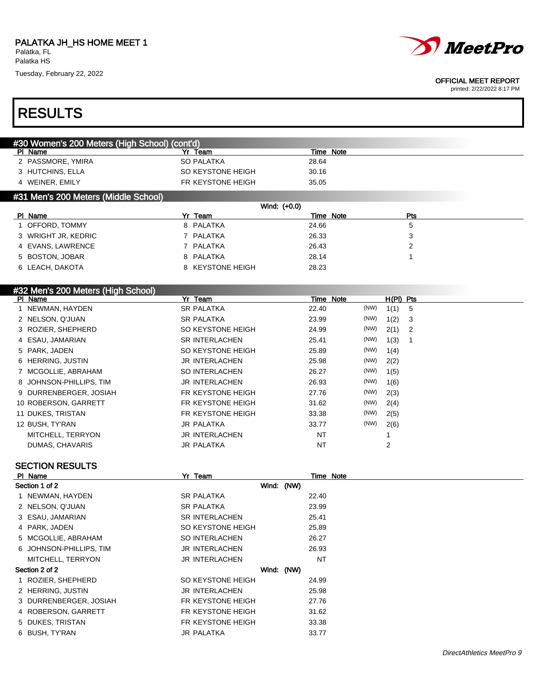

#### OFFICIAL MEET REPORT

printed: 2/22/2022 8:17 PM

# RESULTS

| #30 Women's 200 Meters (High School) (cont'd) |                        |                  |      |             |  |
|-----------------------------------------------|------------------------|------------------|------|-------------|--|
| PI Name                                       | Yr Team                | Time Note        |      |             |  |
| 2 PASSMORE, YMIRA                             | <b>SO PALATKA</b>      | 28.64            |      |             |  |
| 3 HUTCHINS, ELLA                              | SO KEYSTONE HEIGH      | 30.16            |      |             |  |
| 4 WEINER, EMILY                               | FR KEYSTONE HEIGH      | 35.05            |      |             |  |
| #31 Men's 200 Meters (Middle School)          |                        |                  |      |             |  |
|                                               |                        | Wind: (+0.0)     |      |             |  |
| PI Name                                       | Yr Team                | Time Note        |      | Pts         |  |
| 1 OFFORD, TOMMY                               | 8 PALATKA              | 24.66            |      | 5           |  |
| 3 WRIGHT JR, KEDRIC                           | PALATKA<br>$7^{\circ}$ | 26.33            |      | 3           |  |
| 4 EVANS, LAWRENCE                             | 7 PALATKA              | 26.43            |      | 2           |  |
| 5 BOSTON, JOBAR                               | 8 PALATKA              | 28.14            |      | 1           |  |
| 6 LEACH, DAKOTA                               | 8 KEYSTONE HEIGH       | 28.23            |      |             |  |
|                                               |                        |                  |      |             |  |
| #32 Men's 200 Meters (High School)            |                        |                  |      |             |  |
| PI Name                                       | <b>Yr Team</b>         | <b>Time Note</b> |      | $H(PI)$ Pts |  |
| 1 NEWMAN, HAYDEN                              | <b>SR PALATKA</b>      | 22.40            | (NW) | 1(1)<br>5   |  |
| 2 NELSON, Q'JUAN                              | <b>SR PALATKA</b>      | 23.99            | (NW) | 1(2)<br>3   |  |
| 3 ROZIER, SHEPHERD                            | SO KEYSTONE HEIGH      | 24.99            | (NW) | 2(1)<br>2   |  |
| 4 ESAU, JAMARIAN                              | <b>SR INTERLACHEN</b>  | 25.41            | (NW) | 1(3)<br>1   |  |
| 5 PARK, JADEN                                 | SO KEYSTONE HEIGH      | 25.89            | (NW) | 1(4)        |  |
| 6 HERRING, JUSTIN                             | <b>JR INTERLACHEN</b>  | 25.98            | (NW) | 2(2)        |  |
| 7 MCGOLLIE, ABRAHAM                           | <b>SO INTERLACHEN</b>  | 26.27            | (NW) | 1(5)        |  |
| 8 JOHNSON-PHILLIPS, TIM                       | <b>JR INTERLACHEN</b>  | 26.93            | (NW) | 1(6)        |  |
| 9 DURRENBERGER, JOSIAH                        | FR KEYSTONE HEIGH      | 27.76            | (NW) | 2(3)        |  |
| 10 ROBERSON, GARRETT                          | FR KEYSTONE HEIGH      | 31.62            | (NW) | 2(4)        |  |
|                                               |                        |                  |      |             |  |
| 11 DUKES, TRISTAN                             | FR KEYSTONE HEIGH      | 33.38            | (NW) | 2(5)        |  |
|                                               | <b>JR PALATKA</b>      | 33.77            | (NW) |             |  |
| 12 BUSH, TY'RAN<br>MITCHELL, TERRYON          | <b>JR INTERLACHEN</b>  | <b>NT</b>        |      | 2(6)        |  |

### SECTION RESULTS

| PI Name                 | Yr Team               | Time Note |  |
|-------------------------|-----------------------|-----------|--|
| Section 1 of 2          | Wind: (NW)            |           |  |
| 1 NEWMAN, HAYDEN        | <b>SR PALATKA</b>     | 22.40     |  |
| 2 NELSON, Q'JUAN        | <b>SR PALATKA</b>     | 23.99     |  |
| 3 ESAU, JAMARIAN        | <b>SR INTERLACHEN</b> | 25.41     |  |
| 4 PARK, JADEN           | SO KEYSTONE HEIGH     | 25.89     |  |
| 5 MCGOLLIE, ABRAHAM     | <b>SO INTERLACHEN</b> | 26.27     |  |
| 6 JOHNSON-PHILLIPS, TIM | <b>JR INTERLACHEN</b> | 26.93     |  |
| MITCHELL, TERRYON       | JR INTERLACHEN        | <b>NT</b> |  |
| Section 2 of 2          | Wind: (NW)            |           |  |
| 1 ROZIER, SHEPHERD      | SO KEYSTONE HEIGH     | 24.99     |  |
| 2 HERRING, JUSTIN       | <b>JR INTERLACHEN</b> | 25.98     |  |
| 3 DURRENBERGER, JOSIAH  | FR KEYSTONE HEIGH     | 27.76     |  |
| 4 ROBERSON, GARRETT     | FR KEYSTONE HEIGH     | 31.62     |  |
| 5 DUKES, TRISTAN        | FR KEYSTONE HEIGH     | 33.38     |  |
| 6 BUSH, TY'RAN          | <b>JR PALATKA</b>     | 33.77     |  |
|                         |                       |           |  |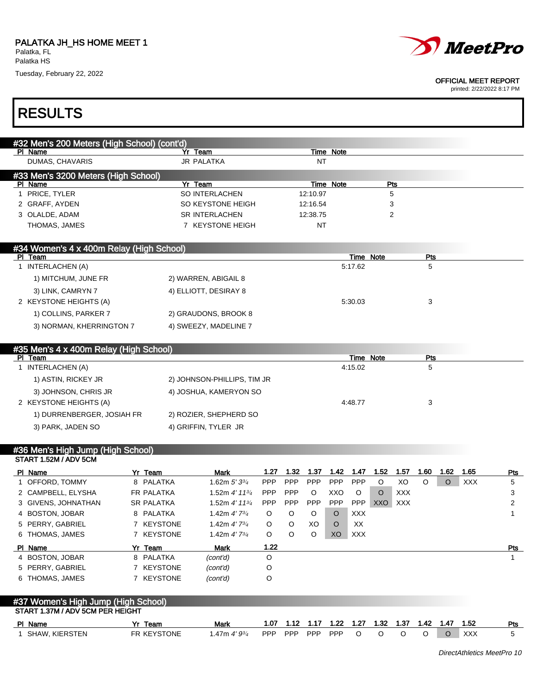Т



#### OFFICIAL MEET REPORT

| <b>RESULTS</b>                                                          |                   |                             |            |            |                |            |                      |             |            |          |      |            |              |
|-------------------------------------------------------------------------|-------------------|-----------------------------|------------|------------|----------------|------------|----------------------|-------------|------------|----------|------|------------|--------------|
| #32 Men's 200 Meters (High School) (cont'd)                             |                   |                             |            |            |                |            |                      |             |            |          |      |            |              |
| PI Name                                                                 |                   | Yr Team                     |            |            |                | Time Note  |                      |             |            |          |      |            |              |
| DUMAS, CHAVARIS                                                         |                   | <b>JR PALATKA</b>           |            |            | NT             |            |                      |             |            |          |      |            |              |
| #33 Men's 3200 Meters (High School)                                     |                   |                             |            |            |                |            |                      |             |            |          |      |            |              |
| PI Name                                                                 |                   | Yr Team                     |            |            |                | Time Note  |                      |             | Pts        |          |      |            |              |
| 1 PRICE, TYLER                                                          |                   | SO INTERLACHEN              |            |            | 12:10.97       |            |                      |             | 5          |          |      |            |              |
| 2 GRAFF, AYDEN                                                          |                   | SO KEYSTONE HEIGH           |            |            | 12:16.54       |            |                      |             | 3          |          |      |            |              |
| 3 OLALDE, ADAM                                                          |                   | <b>SR INTERLACHEN</b>       |            |            | 12:38.75       |            |                      |             | 2          |          |      |            |              |
| THOMAS, JAMES                                                           |                   | 7 KEYSTONE HEIGH            |            |            | NT             |            |                      |             |            |          |      |            |              |
| #34 Women's 4 x 400m Relay (High School)<br>PI Team                     |                   |                             |            |            |                |            | Time Note            |             |            | Pts      |      |            |              |
| 1 INTERLACHEN (A)                                                       |                   |                             |            |            |                |            | 5:17.62              |             |            | 5        |      |            |              |
| 1) MITCHUM, JUNE FR                                                     |                   |                             |            |            |                |            |                      |             |            |          |      |            |              |
|                                                                         |                   | 2) WARREN, ABIGAIL 8        |            |            |                |            |                      |             |            |          |      |            |              |
| 3) LINK, CAMRYN 7                                                       |                   | 4) ELLIOTT, DESIRAY 8       |            |            |                |            |                      |             |            |          |      |            |              |
| 2 KEYSTONE HEIGHTS (A)                                                  |                   |                             |            |            |                |            | 5:30.03              |             |            | 3        |      |            |              |
| 1) COLLINS, PARKER 7                                                    |                   | 2) GRAUDONS, BROOK 8        |            |            |                |            |                      |             |            |          |      |            |              |
| 3) NORMAN, KHERRINGTON 7                                                |                   | 4) SWEEZY, MADELINE 7       |            |            |                |            |                      |             |            |          |      |            |              |
| #35 Men's 4 x 400m Relay (High School)                                  |                   |                             |            |            |                |            |                      |             |            |          |      |            |              |
| PI Team<br>1 INTERLACHEN (A)                                            |                   |                             |            |            |                |            | Time Note<br>4:15.02 |             |            | Pts<br>5 |      |            |              |
|                                                                         |                   |                             |            |            |                |            |                      |             |            |          |      |            |              |
| 1) ASTIN, RICKEY JR                                                     |                   | 2) JOHNSON-PHILLIPS, TIM JR |            |            |                |            |                      |             |            |          |      |            |              |
| 3) JOHNSON, CHRIS JR                                                    |                   | 4) JOSHUA, KAMERYON SO      |            |            |                |            |                      |             |            |          |      |            |              |
| 2 KEYSTONE HEIGHTS (A)                                                  |                   |                             |            |            |                |            | 4:48.77              |             |            | 3        |      |            |              |
| 1) DURRENBERGER, JOSIAH FR                                              |                   | 2) ROZIER, SHEPHERD SO      |            |            |                |            |                      |             |            |          |      |            |              |
| 3) PARK, JADEN SO                                                       |                   | 4) GRIFFIN, TYLER JR        |            |            |                |            |                      |             |            |          |      |            |              |
| #36 Men's High Jump (High School)                                       |                   |                             |            |            |                |            |                      |             |            |          |      |            |              |
| START 1.52M / ADV 5CM                                                   |                   |                             |            |            |                |            |                      |             |            |          |      |            |              |
| PI Name                                                                 | Yr Team           | Mark                        | 1.27       | 1.32       | 1.37           | 1.42       | 1.47                 | 1.52        | 1.57       | 1.60     | 1.62 | 1.65       | Pts          |
| 1 OFFORD, TOMMY                                                         | 8 PALATKA         | 1.62m $5'3^{3/4}$           | <b>PPP</b> | <b>PPP</b> | <b>PPP</b>     | <b>PPP</b> | <b>PPP</b>           | O           | XO         | O        | O    | <b>XXX</b> | 5            |
| 2 CAMPBELL, ELYSHA                                                      | <b>FR PALATKA</b> | 1.52m $4'$ 11 $\frac{3}{4}$ | <b>PPP</b> | <b>PPP</b> | O              | XXO        | O                    | O           | <b>XXX</b> |          |      |            | 3            |
| 3 GIVENS, JOHNATHAN                                                     | <b>SR PALATKA</b> | 1.52m 4' 113/4              | <b>PPP</b> | <b>PPP</b> | <b>PPP</b>     | <b>PPP</b> |                      | PPP XXO XXX |            |          |      |            | 2            |
| 4 BOSTON, JOBAR                                                         | 8 PALATKA         | 1.42m 4' 73/4               | O          | O          | O              | O          | <b>XXX</b>           |             |            |          |      |            | $\mathbf{1}$ |
| 5 PERRY, GABRIEL                                                        | 7 KEYSTONE        | 1.42m 4'73/4                | O          | O          | XO             | O          | XX                   |             |            |          |      |            |              |
| 6 THOMAS, JAMES                                                         | 7 KEYSTONE        | 1.42m $4'$ 7 $\frac{3}{4}$  | O          | O          | O              | XO         | <b>XXX</b>           |             |            |          |      |            |              |
| PI Name                                                                 | Yr_Team           | <b>Mark</b>                 | 1.22       |            |                |            |                      |             |            |          |      |            | Pts          |
| 4 BOSTON, JOBAR                                                         | 8 PALATKA         | (cont'd)                    | O          |            |                |            |                      |             |            |          |      |            | 1            |
| 5 PERRY, GABRIEL                                                        | 7 KEYSTONE        | (cont'd)                    | O<br>O     |            |                |            |                      |             |            |          |      |            |              |
| 6 THOMAS, JAMES                                                         | 7 KEYSTONE        | (cont'd)                    |            |            |                |            |                      |             |            |          |      |            |              |
| #37 Women's High Jump (High School)<br>START 1.37M / ADV 5CM PER HEIGHT |                   |                             |            |            |                |            |                      |             |            |          |      |            |              |
| PI Name                                                                 | Yr Team           | <b>Mark</b>                 | 1.07       |            | 1.12 1.17 1.22 |            | 1.27                 | 1.32        | 1.37       | 1.42     | 1.47 | 1.52       | <b>Pts</b>   |
| 1 SHAW, KIERSTEN                                                        | FR KEYSTONE       | 1.47m 4' 93/4               | <b>PPP</b> | PPP        | PPP            | PPP        | $\circ$              | O           | O          | $\circ$  | O    | XXX        | 5            |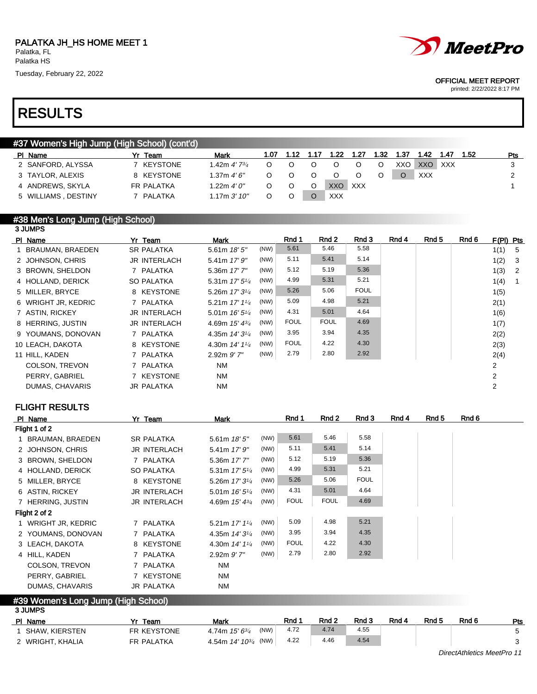

|  | MeetPro |
|--|---------|
|--|---------|

#### OFFICIAL MEET REPORT

printed: 2/22/2022 8:17 PM

### #37 Women's High Jump (High School) (cont'd) Pl Name 7r Team Mark 1.07 1.12 1.17 1.22 1.27 1.32 1.37 1.42 1.47 1.52 Pts 2 SANFORD, ALYSSA 7 KEYSTONE 1.42m 4' 734 0 0 0 0 0 0 XXO XXO XXX 3 3 TAYLOR, ALEXIS 8 KEYSTONE  $1.37 \text{m} 4' 6''$  0 0 0 0 0 0 0 XXX 2 4 ANDREWS, SKYLA FR PALATKA 1.22m 4' 0" O O O XXO XXX 1 1 5 WILLIAMS , DESTINY 7 PALATKA 1.17m 3'10" O O O XXX

#### #38 Men's Long Jump (High School) 3 JUMPS

| PI Name               | Yr Team             | Mark                       |      | Rnd 1       | Rnd 2       | Rnd 3       | Rnd 4 | Rnd 5 | Rnd 6 | $F(PI)$ Pts |                            |
|-----------------------|---------------------|----------------------------|------|-------------|-------------|-------------|-------|-------|-------|-------------|----------------------------|
| 1 BRAUMAN, BRAEDEN    | <b>SR PALATKA</b>   | 5.61m 18' 5"               | (NW) | 5.61        | 5.46        | 5.58        |       |       |       | 1(1) 5      |                            |
| 2 JOHNSON, CHRIS      | <b>JR INTERLACH</b> | $5.41m$ 17' $9''$          | (NW) | 5.11        | 5.41        | 5.14        |       |       |       | 1(2)        | - 3                        |
| 3 BROWN, SHELDON      | 7 PALATKA           | 5.36m 17' 7"               | (NW) | 5.12        | 5.19        | 5.36        |       |       |       | 1(3)        | $\overline{\phantom{0}}^2$ |
| 4 HOLLAND, DERICK     | <b>SO PALATKA</b>   | 5.31m 17' 5 <sup>1/4</sup> | (NW) | 4.99        | 5.31        | 5.21        |       |       |       | 1(4)        | $\overline{\phantom{1}}$   |
| 5 MILLER, BRYCE       | 8 KEYSTONE          | 5.26m $17'3^{1/4}$         | (NW) | 5.26        | 5.06        | <b>FOUL</b> |       |       |       | 1(5)        |                            |
| 6 WRIGHT JR, KEDRIC   | 7 PALATKA           | 5.21m $17'$ $1\frac{1}{4}$ | (NW) | 5.09        | 4.98        | 5.21        |       |       |       | 2(1)        |                            |
| 7 ASTIN, RICKEY       | <b>JR INTERLACH</b> | 5.01m $16'5''$             | (NW) | 4.31        | 5.01        | 4.64        |       |       |       | 1(6)        |                            |
| 8 HERRING, JUSTIN     | <b>JR INTERLACH</b> | 4.69m 15' 43/4             | (NW) | <b>FOUL</b> | <b>FOUL</b> | 4.69        |       |       |       | 1(7)        |                            |
| 9 YOUMANS, DONOVAN    | 7 PALATKA           | 4.35m $14'3\frac{1}{4}$    | (NW) | 3.95        | 3.94        | 4.35        |       |       |       | 2(2)        |                            |
| 10 LEACH, DAKOTA      | 8 KEYSTONE          | 4.30m 14' 11/4             | (NW) | <b>FOUL</b> | 4.22        | 4.30        |       |       |       | 2(3)        |                            |
| 11 HILL, KADEN        | 7 PALATKA           | $2.92m$ $9'$ $7"$          | (NW) | 2.79        | 2.80        | 2.92        |       |       |       | 2(4)        |                            |
| <b>COLSON, TREVON</b> | 7 PALATKA           | <b>NM</b>                  |      |             |             |             |       |       |       | 2           |                            |
| PERRY, GABRIEL        | 7 KEYSTONE          | <b>NM</b>                  |      |             |             |             |       |       |       | 2           |                            |
| DUMAS, CHAVARIS       | <b>JR PALATKA</b>   | <b>NM</b>                  |      |             |             |             |       |       |       | 2           |                            |
|                       |                     |                            |      |             |             |             |       |       |       |             |                            |

### FLIGHT RESULTS

| PI Name             | Yr Team             | Mark                       |      | Rnd 1       | Rnd 2       | Rnd 3       | Rnd 4 | Rnd 5 | Rnd 6 |
|---------------------|---------------------|----------------------------|------|-------------|-------------|-------------|-------|-------|-------|
| Flight 1 of 2       |                     |                            |      |             |             |             |       |       |       |
| 1 BRAUMAN, BRAEDEN  | <b>SR PALATKA</b>   | 5.61m $18'5''$             | (NW) | 5.61        | 5.46        | 5.58        |       |       |       |
| 2 JOHNSON, CHRIS    | <b>JR INTERLACH</b> | $5.41m$ 17' $9''$          | (NW) | 5.11        | 5.41        | 5.14        |       |       |       |
| 3 BROWN, SHELDON    | 7 PALATKA           | 5.36m 17' 7"               | (NW) | 5.12        | 5.19        | 5.36        |       |       |       |
| 4 HOLLAND, DERICK   | SO PALATKA          | 5.31m $17'5''/4$           | (NW) | 4.99        | 5.31        | 5.21        |       |       |       |
| 5 MILLER, BRYCE     | 8 KEYSTONE          | 5.26m $17'3\frac{1}{4}$    | (NW) | 5.26        | 5.06        | <b>FOUL</b> |       |       |       |
| 6 ASTIN, RICKEY     | <b>JR INTERLACH</b> | 5.01m $16'5''$             | (NW) | 4.31        | 5.01        | 4.64        |       |       |       |
| 7 HERRING, JUSTIN   | <b>JR INTERLACH</b> | 4.69m $15' 4^{3/4}$        | (NW) | <b>FOUL</b> | <b>FOUL</b> | 4.69        |       |       |       |
| Flight 2 of 2       |                     |                            |      |             |             |             |       |       |       |
| 1 WRIGHT JR, KEDRIC | 7 PALATKA           | 5.21m 17' 11/4             | (NW) | 5.09        | 4.98        | 5.21        |       |       |       |
| 2 YOUMANS, DONOVAN  | 7 PALATKA           | 4.35m $14'3^{1/4}$         | (NW) | 3.95        | 3.94        | 4.35        |       |       |       |
| 3 LEACH, DAKOTA     | 8 KEYSTONE          | 4.30m $14'$ $1\frac{1}{4}$ | (NW) | <b>FOUL</b> | 4.22        | 4.30        |       |       |       |
| 4 HILL, KADEN       | 7 PALATKA           | $2.92m$ $9'$ $7"$          | (NW) | 2.79        | 2.80        | 2.92        |       |       |       |
| COLSON, TREVON      | 7 PALATKA           | <b>NM</b>                  |      |             |             |             |       |       |       |
| PERRY, GABRIEL      | 7 KEYSTONE          | <b>NM</b>                  |      |             |             |             |       |       |       |
| DUMAS, CHAVARIS     | <b>JR PALATKA</b>   | <b>NM</b>                  |      |             |             |             |       |       |       |

#### #39 Women's Long Jump (High School) 3 JUMPS

| ---------        |                   |                             |            |                  |       |       |       |       |     |
|------------------|-------------------|-----------------------------|------------|------------------|-------|-------|-------|-------|-----|
| PI Name          | Team              | Mark                        | <b>Rnd</b> | Rnd <sub>2</sub> | Rnd 3 | Rnd 4 | Rnd 5 | Rnd 6 | Pts |
| SHAW. KIERSTEN   | FR KEYSTONE       | (NW)<br>4.74m $15'6^{3/4}$  | 4.72       | 4.74             | 4.55  |       |       |       |     |
| 2 WRIGHT, KHALIA | <b>FR PALATKA</b> | 4.54m $14'$ $10^{3/4}$ (NW) | 4.22       | 4.46             | 4.54  |       |       |       |     |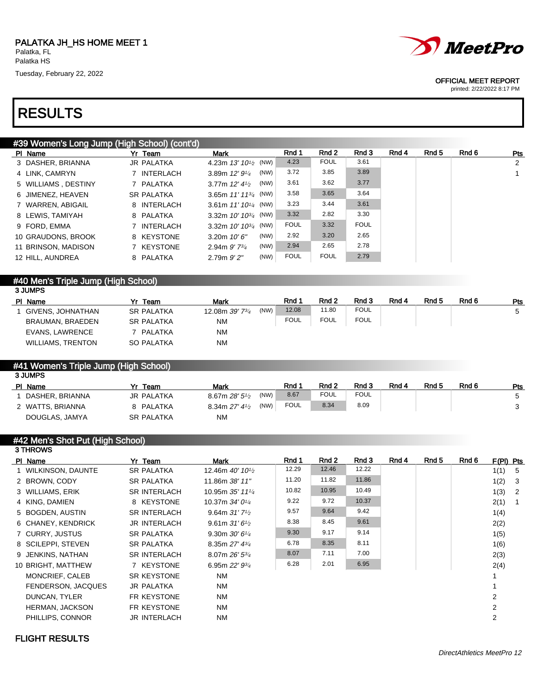# RESULTS



#### OFFICIAL MEET REPORT

printed: 2/22/2022 8:17 PM

| #39 Women's Long Jump (High School) (cont'd) |                   |                             |      |             |             |             |       |       |       |            |
|----------------------------------------------|-------------------|-----------------------------|------|-------------|-------------|-------------|-------|-------|-------|------------|
| PI Name                                      | Yr Team           | Mark                        |      | Rnd 1       | Rnd 2       | Rnd 3       | Rnd 4 | Rnd 5 | Rnd 6 | <b>Pts</b> |
| 3 DASHER, BRIANNA                            | <b>JR PALATKA</b> | 4.23m $13'$ $10^{1/2}$ (NW) |      | 4.23        | <b>FOUL</b> | 3.61        |       |       |       | 2          |
| 4 LINK, CAMRYN                               | INTERLACH         | 3.89m $12'9'4$              | (NW) | 3.72        | 3.85        | 3.89        |       |       |       |            |
| 5 WILLIAMS, DESTINY                          | PALATKA           | 3.77m $12'$ 4 $\frac{1}{2}$ | (NW) | 3.61        | 3.62        | 3.77        |       |       |       |            |
| 6 JIMENEZ, HEAVEN                            | <b>SR PALATKA</b> | 3.65m $11'$ $11^{3/4}$ (NW) |      | 3.58        | 3.65        | 3.64        |       |       |       |            |
| 7 WARREN, ABIGAIL                            | 8 INTERLACH       | 3.61m $11'10^{1/4}$ (NW)    |      | 3.23        | 3.44        | 3.61        |       |       |       |            |
| 8 LEWIS, TAMIYAH                             | 8 PALATKA         | 3.32m $10'$ $10^{3/4}$ (NW) |      | 3.32        | 2.82        | 3.30        |       |       |       |            |
| 9 FORD, EMMA                                 | INTERLACH         | 3.32m $10'$ $10^{3/4}$ (NW) |      | <b>FOUL</b> | 3.32        | <b>FOUL</b> |       |       |       |            |
| 10 GRAUDONS, BROOK                           | 8 KEYSTONE        | 3.20m $10'6''$              | (NW) | 2.92        | 3.20        | 2.65        |       |       |       |            |
| 11 BRINSON, MADISON                          | KEYSTONE          | 2.94m $9'$ 7 $\frac{3}{4}$  | (NW) | 2.94        | 2.65        | 2.78        |       |       |       |            |
| 12 HILL, AUNDREA                             | 8 PALATKA         | $2.79m$ $9'2''$             | (NW) | <b>FOUL</b> | <b>FOUL</b> | 2.79        |       |       |       |            |
|                                              |                   |                             |      |             |             |             |       |       |       |            |

## #40 Men's Triple Jump (High School)

| 3 JUMPS                  |                   |                                     |             |             |             |       |       |       |     |  |  |
|--------------------------|-------------------|-------------------------------------|-------------|-------------|-------------|-------|-------|-------|-----|--|--|
| PI Name                  | Yr Team           | Mark                                | Rnd ·       | Rnd 2       | Rnd 3       | Rnd 4 | Rnd 5 | Rnd 6 | Pts |  |  |
| GIVENS. JOHNATHAN        | <b>SR PALATKA</b> | (NW)<br>12.08m 39' 7 <sup>3/4</sup> | 12.08       | 11.80       | <b>FOUL</b> |       |       |       |     |  |  |
| BRAUMAN, BRAEDEN         | <b>SR PALATKA</b> | ΝM                                  | <b>FOUL</b> | <b>FOUL</b> | <b>FOUL</b> |       |       |       |     |  |  |
| EVANS, LAWRENCE          | PALATKA           | ΝM                                  |             |             |             |       |       |       |     |  |  |
| <b>WILLIAMS, TRENTON</b> | <b>SO PALATKA</b> | ΝM                                  |             |             |             |       |       |       |     |  |  |

#### #41 Women's Triple Jump (High School)  $2 \text{ HMO}$

| o oom o          |                   |                                     |             |             |             |       |       |       |     |
|------------------|-------------------|-------------------------------------|-------------|-------------|-------------|-------|-------|-------|-----|
| PI Name          | Yr Team           | Mark                                | Rnd         | Rnd 2       | Rnd 3       | Rnd 4 | Rnd 5 | Rnd 6 | Pts |
| DASHER, BRIANNA  | <b>JR PALATKA</b> | (NW)<br>8.67m $28'5\frac{1}{2}$     | 8.67        | <b>FOUL</b> | <b>FOUL</b> |       |       |       |     |
| 2 WATTS, BRIANNA | 8 PALATKA         | (NW)<br>8.34m $27'$ 4 $\frac{1}{2}$ | <b>FOUL</b> | 8.34        | 8.09        |       |       |       |     |
| DOUGLAS, JAMYA   | <b>SR PALATKA</b> | <b>NM</b>                           |             |             |             |       |       |       |     |
|                  |                   |                                     |             |             |             |       |       |       |     |

#### #42 Men's Shot Put (High School)

| 3 THROWS               |                     |                                           |       |       |       |       |       |       |                |    |
|------------------------|---------------------|-------------------------------------------|-------|-------|-------|-------|-------|-------|----------------|----|
| PI Name                | Yr Team             | Mark                                      | Rnd 1 | Rnd 2 | Rnd 3 | Rnd 4 | Rnd 5 | Rnd 6 | F(PI) Pts      |    |
| 1 WILKINSON, DAUNTE    | <b>SR PALATKA</b>   | 12.46m 40' 10 <sup>1</sup> / <sub>2</sub> | 12.29 | 12.46 | 12.22 |       |       |       | 1(1)           | 5  |
| 2 BROWN, CODY          | <b>SR PALATKA</b>   | 11.86m 38' 11"                            | 11.20 | 11.82 | 11.86 |       |       |       | 1(2)           | 3  |
| 3 WILLIAMS, ERIK       | <b>SR INTERLACH</b> | 10.95m 35' 1114                           | 10.82 | 10.95 | 10.49 |       |       |       | 1(3)           | -2 |
| 4 KING, DAMIEN         | 8 KEYSTONE          | 10.37m 34' 0 <sup>1/4</sup>               | 9.22  | 9.72  | 10.37 |       |       |       | 2(1)           | -1 |
| 5 BOGDEN, AUSTIN       | <b>SR INTERLACH</b> | 9.64m $31'$ 7 <sup>1</sup> / <sub>2</sub> | 9.57  | 9.64  | 9.42  |       |       |       | 1(4)           |    |
| 6 CHANEY, KENDRICK     | <b>JR INTERLACH</b> | 9.61m $31'6\frac{1}{2}$                   | 8.38  | 8.45  | 9.61  |       |       |       | 2(2)           |    |
| 7 CURRY, JUSTUS        | <b>SR PALATKA</b>   | 9.30m $30'6''$                            | 9.30  | 9.17  | 9.14  |       |       |       | 1(5)           |    |
| 8 SCILEPPI, STEVEN     | <b>SR PALATKA</b>   | 8.35m $27'$ 4 $\frac{3}{4}$               | 6.78  | 8.35  | 8.11  |       |       |       | 1(6)           |    |
| 9 JENKINS, NATHAN      | <b>SR INTERLACH</b> | 8.07m $26'$ 5 $\frac{3}{4}$               | 8.07  | 7.11  | 7.00  |       |       |       | 2(3)           |    |
| 10 BRIGHT, MATTHEW     | 7 KEYSTONE          | 6.95m $22'$ $9\frac{3}{4}$                | 6.28  | 2.01  | 6.95  |       |       |       | 2(4)           |    |
| MONCRIEF, CALEB        | <b>SR KEYSTONE</b>  | <b>NM</b>                                 |       |       |       |       |       |       |                |    |
| FENDERSON, JACQUES     | <b>JR PALATKA</b>   | <b>NM</b>                                 |       |       |       |       |       |       |                |    |
| DUNCAN, TYLER          | FR KEYSTONE         | <b>NM</b>                                 |       |       |       |       |       |       | 2              |    |
| <b>HERMAN, JACKSON</b> | FR KEYSTONE         | <b>NM</b>                                 |       |       |       |       |       |       | $\overline{2}$ |    |
| PHILLIPS, CONNOR       | <b>JR INTERLACH</b> | <b>NM</b>                                 |       |       |       |       |       |       | $\overline{2}$ |    |
|                        |                     |                                           |       |       |       |       |       |       |                |    |

### FLIGHT RESULTS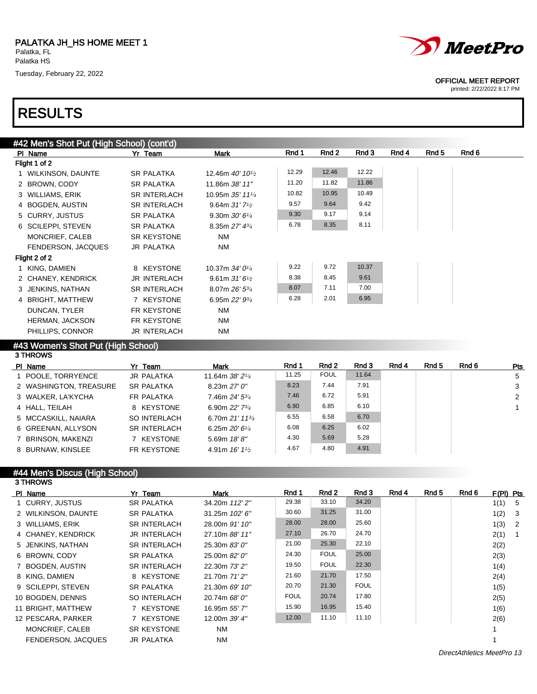# RESULTS

|  | <i>MeetPro</i> |
|--|----------------|
|--|----------------|

#### OFFICIAL MEET REPORT

printed: 2/22/2022 8:17 PM

| #42 Men's Shot Put (High School) (cont'd) |                     |                                           |       |       |       |       |       |       |
|-------------------------------------------|---------------------|-------------------------------------------|-------|-------|-------|-------|-------|-------|
| PI Name                                   | Yr Team             | Mark                                      | Rnd 1 | Rnd 2 | Rnd 3 | Rnd 4 | Rnd 5 | Rnd 6 |
| Flight 1 of 2                             |                     |                                           |       |       |       |       |       |       |
| 1 WILKINSON, DAUNTE                       | <b>SR PALATKA</b>   | 12.46m 40' 10 <sup>1</sup> / <sub>2</sub> | 12.29 | 12.46 | 12.22 |       |       |       |
| 2 BROWN, CODY                             | <b>SR PALATKA</b>   | 11.86m 38' 11"                            | 11.20 | 11.82 | 11.86 |       |       |       |
| 3 WILLIAMS, ERIK                          | <b>SR INTERLACH</b> | 10.95m 35' 111/4                          | 10.82 | 10.95 | 10.49 |       |       |       |
| 4 BOGDEN, AUSTIN                          | <b>SR INTERLACH</b> | 9.64m $31'$ 7 <sup>1</sup> / <sub>2</sub> | 9.57  | 9.64  | 9.42  |       |       |       |
| 5 CURRY, JUSTUS                           | <b>SR PALATKA</b>   | 9.30m $30'6''$                            | 9.30  | 9.17  | 9.14  |       |       |       |
| 6 SCILEPPI, STEVEN                        | <b>SR PALATKA</b>   | 8.35m $27'$ 4 $\frac{3}{4}$               | 6.78  | 8.35  | 8.11  |       |       |       |
| MONCRIEF, CALEB                           | <b>SR KEYSTONE</b>  | <b>NM</b>                                 |       |       |       |       |       |       |
| FENDERSON, JACQUES                        | <b>JR PALATKA</b>   | NM                                        |       |       |       |       |       |       |
| Flight 2 of 2                             |                     |                                           |       |       |       |       |       |       |
| 1 KING, DAMIEN                            | 8 KEYSTONE          | 10.37m 34' 01/4                           | 9.22  | 9.72  | 10.37 |       |       |       |
| 2 CHANEY, KENDRICK                        | <b>JR INTERLACH</b> | 9.61m $31'6\frac{1}{2}$                   | 8.38  | 8.45  | 9.61  |       |       |       |
| 3 JENKINS, NATHAN                         | <b>SR INTERLACH</b> | 8.07m 26' 53/4                            | 8.07  | 7.11  | 7.00  |       |       |       |
| 4 BRIGHT, MATTHEW                         | 7 KEYSTONE          | 6.95m $22'$ $9\frac{3}{4}$                | 6.28  | 2.01  | 6.95  |       |       |       |
| DUNCAN, TYLER                             | FR KEYSTONE         | NM                                        |       |       |       |       |       |       |
| <b>HERMAN, JACKSON</b>                    | FR KEYSTONE         | NM                                        |       |       |       |       |       |       |
| PHILLIPS, CONNOR                          | <b>JR INTERLACH</b> | NM                                        |       |       |       |       |       |       |

#### #43 Women's Shot Put (High School)

| 3 THROWS               |                     |                              |       |             |       |       |       |       |     |
|------------------------|---------------------|------------------------------|-------|-------------|-------|-------|-------|-------|-----|
| PI Name                | Yr Team             | Mark                         | Rnd 1 | Rnd 2       | Rnd 3 | Rnd 4 | Rnd 5 | Rnd 6 | Pts |
| 1 POOLE, TORRYENCE     | <b>JR PALATKA</b>   | 11.64m $38'2^{1/4}$          | 11.25 | <b>FOUL</b> | 11.64 |       |       |       | 5   |
| 2 WASHINGTON, TREASURE | <b>SR PALATKA</b>   | 8.23m 27'0''                 | 8.23  | 7.44        | 7.91  |       |       |       | 3   |
| 3 WALKER, LA'KYCHA     | <b>FR PALATKA</b>   | 7.46m 24' 5 <sup>3/4</sup>   | 7.46  | 6.72        | 5.91  |       |       |       | 2   |
| 4 HALL, TEILAH         | 8 KEYSTONE          | 6.90m 22' 73/4               | 6.90  | 6.85        | 6.10  |       |       |       |     |
| 5 MCCASKILL, NAIARA    | SO INTERLACH        | 6.70m $21'$ 11 $\frac{3}{4}$ | 6.55  | 6.58        | 6.70  |       |       |       |     |
| 6 GREENAN, ALLYSON     | <b>SR INTERLACH</b> | 6.25m $20'6\frac{1}{4}$      | 6.08  | 6.25        | 6.02  |       |       |       |     |
| 7 BRINSON, MAKENZI     | KEYSTONE            | 5.69m $18'8''$               | 4.30  | 5.69        | 5.28  |       |       |       |     |
| 8 BURNAW, KINSLEE      | FR KEYSTONE         | 4.91m $16'1\frac{1}{2}$      | 4.67  | 4.80        | 4.91  |       |       |       |     |

#### #44 Men's Discus (High School) 3 THROWS

| PI Name                   | Yr Team             | Mark             | Rnd 1       | Rnd 2       | Rnd 3       | Rnd 4 | Rnd 5 | Rnd 6 | $F(PI)$ Pts |                |
|---------------------------|---------------------|------------------|-------------|-------------|-------------|-------|-------|-------|-------------|----------------|
| 1 CURRY, JUSTUS           | <b>SR PALATKA</b>   | 34.20m 112' 2"   | 29.38       | 33.10       | 34.20       |       |       |       | 1(1)        | - 5            |
| 2 WILKINSON, DAUNTE       | <b>SR PALATKA</b>   | 31.25m $102'$ 6" | 30.60       | 31.25       | 31.00       |       |       |       | 1(2)        | - 3            |
| 3 WILLIAMS, ERIK          | <b>SR INTERLACH</b> | 28.00m 91' 10"   | 28.00       | 28.00       | 25.60       |       |       |       | 1(3)        | $\overline{2}$ |
| 4 CHANEY, KENDRICK        | <b>JR INTERLACH</b> | 27.10m 88' 11"   | 27.10       | 26.70       | 24.70       |       |       |       | 2(1)        |                |
| 5 JENKINS, NATHAN         | <b>SR INTERLACH</b> | 25.30m 83' 0"    | 21.00       | 25.30       | 22.10       |       |       |       | 2(2)        |                |
| 6 BROWN, CODY             | <b>SR PALATKA</b>   | 25.00m 82' 0"    | 24.30       | <b>FOUL</b> | 25.00       |       |       |       | 2(3)        |                |
| 7 BOGDEN, AUSTIN          | <b>SR INTERLACH</b> | 22.30m 73' 2"    | 19.50       | <b>FOUL</b> | 22.30       |       |       |       | 1(4)        |                |
| 8 KING, DAMIEN            | 8 KEYSTONE          | 21.70m 71'2"     | 21.60       | 21.70       | 17.50       |       |       |       | 2(4)        |                |
| 9 SCILEPPI, STEVEN        | <b>SR PALATKA</b>   | 21.30m 69' 10"   | 20.70       | 21.30       | <b>FOUL</b> |       |       |       | 1(5)        |                |
| 10 BOGDEN, DENNIS         | <b>SO INTERLACH</b> | 20.74m 68' 0"    | <b>FOUL</b> | 20.74       | 17.80       |       |       |       | 2(5)        |                |
| 11 BRIGHT, MATTHEW        | 7 KEYSTONE          | 16.95m 55' 7"    | 15.90       | 16.95       | 15.40       |       |       |       | 1(6)        |                |
| 12 PESCARA, PARKER        | 7 KEYSTONE          | 12.00m 39' 4"    | 12.00       | 11.10       | 11.10       |       |       |       | 2(6)        |                |
| MONCRIEF, CALEB           | <b>SR KEYSTONE</b>  | <b>NM</b>        |             |             |             |       |       |       |             |                |
| <b>FENDERSON, JACQUES</b> | <b>JR PALATKA</b>   | <b>NM</b>        |             |             |             |       |       |       |             |                |

DirectAthletics MeetPro 13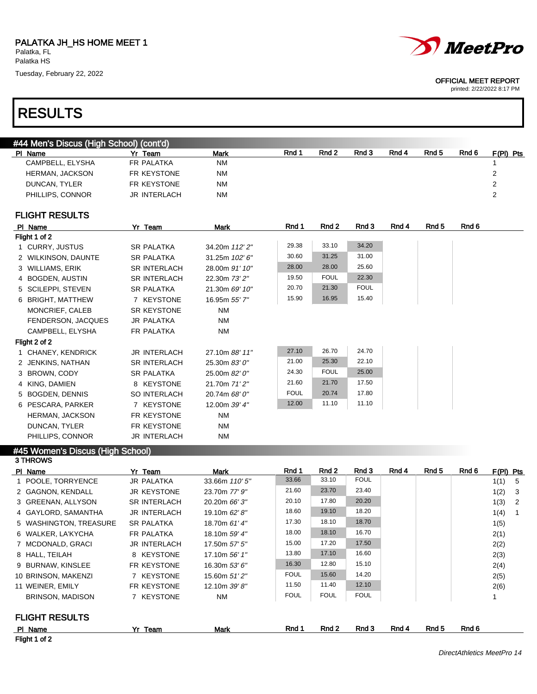# RESULTS



#### OFFICIAL MEET REPORT

| #44 Men's Discus (High School) (cont'd) |                        |                          |             |             |             |       |                  |       |                        |
|-----------------------------------------|------------------------|--------------------------|-------------|-------------|-------------|-------|------------------|-------|------------------------|
| PI Name                                 | Yr Team                | Mark                     | Rnd 1       | Rnd 2       | Rnd 3       | Rnd 4 | Rnd <sub>5</sub> | Rnd 6 | $F(PI)$ Pts            |
| CAMPBELL, ELYSHA                        | FR PALATKA             | <b>NM</b>                |             |             |             |       |                  |       | 1                      |
| <b>HERMAN, JACKSON</b>                  | FR KEYSTONE            | <b>NM</b>                |             |             |             |       |                  |       | 2                      |
| DUNCAN, TYLER                           | FR KEYSTONE            | <b>NM</b>                |             |             |             |       |                  |       | $\mathbf{2}$           |
| PHILLIPS, CONNOR                        | <b>JR INTERLACH</b>    | <b>NM</b>                |             |             |             |       |                  |       | $\overline{2}$         |
| <b>FLIGHT RESULTS</b>                   |                        |                          |             |             |             |       |                  |       |                        |
| PI Name                                 | Yr Team                | <b>Mark</b>              | Rnd 1       | Rnd 2       | Rnd 3       | Rnd 4 | Rnd <sub>5</sub> | Rnd 6 |                        |
| Flight 1 of 2                           |                        |                          |             |             |             |       |                  |       |                        |
| 1 CURRY, JUSTUS                         | <b>SR PALATKA</b>      | 34.20m 112' 2"           | 29.38       | 33.10       | 34.20       |       |                  |       |                        |
| 2 WILKINSON, DAUNTE                     | <b>SR PALATKA</b>      | 31.25m 102' 6"           | 30.60       | 31.25       | 31.00       |       |                  |       |                        |
| 3 WILLIAMS, ERIK                        | <b>SR INTERLACH</b>    | 28.00m 91' 10"           | 28.00       | 28.00       | 25.60       |       |                  |       |                        |
| 4 BOGDEN, AUSTIN                        | <b>SR INTERLACH</b>    | 22.30m 73' 2"            | 19.50       | <b>FOUL</b> | 22.30       |       |                  |       |                        |
| 5 SCILEPPI, STEVEN                      | <b>SR PALATKA</b>      | 21.30m 69' 10"           | 20.70       | 21.30       | <b>FOUL</b> |       |                  |       |                        |
| 6 BRIGHT, MATTHEW                       | 7 KEYSTONE             | 16.95m 55' 7"            | 15.90       | 16.95       | 15.40       |       |                  |       |                        |
| MONCRIEF, CALEB                         | <b>SR KEYSTONE</b>     | <b>NM</b>                |             |             |             |       |                  |       |                        |
| FENDERSON, JACQUES                      | <b>JR PALATKA</b>      | <b>NM</b>                |             |             |             |       |                  |       |                        |
| CAMPBELL, ELYSHA                        | FR PALATKA             | <b>NM</b>                |             |             |             |       |                  |       |                        |
| Flight 2 of 2                           |                        |                          |             |             |             |       |                  |       |                        |
| 1 CHANEY, KENDRICK                      | <b>JR INTERLACH</b>    | 27.10m 88' 11"           | 27.10       | 26.70       | 24.70       |       |                  |       |                        |
| 2 JENKINS, NATHAN                       | <b>SR INTERLACH</b>    | 25.30m 83' 0"            | 21.00       | 25.30       | 22.10       |       |                  |       |                        |
| 3 BROWN, CODY                           | <b>SR PALATKA</b>      | 25.00m 82' 0"            | 24.30       | <b>FOUL</b> | 25.00       |       |                  |       |                        |
| 4 KING, DAMIEN                          | 8 KEYSTONE             | 21.70m 71'2"             | 21.60       | 21.70       | 17.50       |       |                  |       |                        |
| 5 BOGDEN, DENNIS                        | <b>SO INTERLACH</b>    | 20.74m 68' 0"            | <b>FOUL</b> | 20.74       | 17.80       |       |                  |       |                        |
| 6 PESCARA, PARKER                       | 7 KEYSTONE             | 12.00m 39' 4"            | 12.00       | 11.10       | 11.10       |       |                  |       |                        |
| HERMAN, JACKSON                         | FR KEYSTONE            | <b>NM</b>                |             |             |             |       |                  |       |                        |
| DUNCAN, TYLER                           | FR KEYSTONE            | <b>NM</b>                |             |             |             |       |                  |       |                        |
| PHILLIPS, CONNOR                        | <b>JR INTERLACH</b>    | <b>NM</b>                |             |             |             |       |                  |       |                        |
| #45 Women's Discus (High School)        |                        |                          |             |             |             |       |                  |       |                        |
| 3 THROWS                                |                        |                          | Rnd 1       | Rnd 2       | Rnd 3       | Rnd 4 | Rnd 5            | Rnd 6 |                        |
| PI Name<br>1 POOLE TORRYENCE            | Yr Team<br>IR PAI ATKA | Mark<br>33.66m $110'5''$ | 33.66       | 33.10       | <b>FOUL</b> |       |                  |       | F(PI) Pts<br>1(1)<br>5 |

|                         | . של                | IVIGUN         | .           |             |             |       |       | .     | .      |                            |
|-------------------------|---------------------|----------------|-------------|-------------|-------------|-------|-------|-------|--------|----------------------------|
| 1 POOLE, TORRYENCE      | <b>JR PALATKA</b>   | 33.66m 110' 5" | 33.66       | 33.10       | <b>FOUL</b> |       |       |       | 1(1) 5 |                            |
| 2 GAGNON, KENDALL       | <b>JR KEYSTONE</b>  | 23.70m 77' 9"  | 21.60       | 23.70       | 23.40       |       |       |       | 1(2)   | - 3                        |
| 3 GREENAN, ALLYSON      | <b>SR INTERLACH</b> | 20.20m 66' 3"  | 20.10       | 17.80       | 20.20       |       |       |       | 1(3)   | $\overline{\phantom{0}}^2$ |
| 4 GAYLORD, SAMANTHA     | <b>JR INTERLACH</b> | 19.10m 62' 8"  | 18.60       | 19.10       | 18.20       |       |       |       | 1(4)   | $\overline{1}$             |
| 5 WASHINGTON, TREASURE  | <b>SR PALATKA</b>   | 18.70m 61' 4"  | 17.30       | 18.10       | 18.70       |       |       |       | 1(5)   |                            |
| 6 WALKER, LA'KYCHA      | FR PALATKA          | 18.10m 59' 4"  | 18.00       | 18.10       | 16.70       |       |       |       | 2(1)   |                            |
| 7 MCDONALD, GRACI       | <b>JR INTERLACH</b> | 17.50m 57' 5"  | 15.00       | 17.20       | 17.50       |       |       |       | 2(2)   |                            |
| 8 HALL, TEILAH          | 8 KEYSTONE          | 17.10m 56' 1"  | 13.80       | 17.10       | 16.60       |       |       |       | 2(3)   |                            |
| 9 BURNAW, KINSLEE       | FR KEYSTONE         | 16.30m 53' 6"  | 16.30       | 12.80       | 15.10       |       |       |       | 2(4)   |                            |
| 10 BRINSON, MAKENZI     | 7 KEYSTONE          | 15.60m 51' 2"  | <b>FOUL</b> | 15.60       | 14.20       |       |       |       | 2(5)   |                            |
| 11 WEINER, EMILY        | FR KEYSTONE         | 12.10m 39' 8"  | 11.50       | 11.40       | 12.10       |       |       |       | 2(6)   |                            |
| <b>BRINSON, MADISON</b> | 7 KEYSTONE          | <b>NM</b>      | <b>FOUL</b> | <b>FOUL</b> | <b>FOUL</b> |       |       |       |        |                            |
| <b>FLIGHT RESULTS</b>   |                     |                |             |             |             |       |       |       |        |                            |
| PI Name                 | Yr Team             | Mark           | Rnd 1       | Rnd 2       | Rnd 3       | Rnd 4 | Rnd 5 | Rnd 6 |        |                            |
| Flight 1 of 2           |                     |                |             |             |             |       |       |       |        |                            |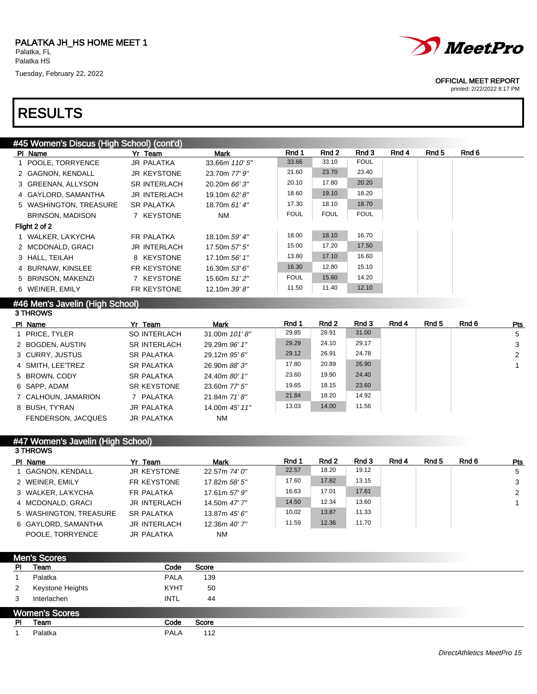# RESULTS



#### OFFICIAL MEET REPORT

printed: 2/22/2022 8:17 PM

| #45 Women's Discus (High School) (cont'd) |                     |                |             |             |             |       |       |       |
|-------------------------------------------|---------------------|----------------|-------------|-------------|-------------|-------|-------|-------|
| PI Name                                   | Yr Team             | Mark           | Rnd 1       | Rnd 2       | Rnd 3       | Rnd 4 | Rnd 5 | Rnd 6 |
| 1 POOLE, TORRYENCE                        | <b>JR PALATKA</b>   | 33.66m 110' 5" | 33.66       | 33.10       | <b>FOUL</b> |       |       |       |
| 2 GAGNON, KENDALL                         | <b>JR KEYSTONE</b>  | 23.70m 77' 9"  | 21.60       | 23.70       | 23.40       |       |       |       |
| 3 GREENAN, ALLYSON                        | <b>SR INTERLACH</b> | 20.20m 66' 3"  | 20.10       | 17.80       | 20.20       |       |       |       |
| 4 GAYLORD, SAMANTHA                       | <b>JR INTERLACH</b> | 19.10m 62' 8"  | 18.60       | 19.10       | 18.20       |       |       |       |
| 5 WASHINGTON, TREASURE                    | <b>SR PALATKA</b>   | 18.70m 61' 4"  | 17.30       | 18.10       | 18.70       |       |       |       |
| <b>BRINSON, MADISON</b>                   | 7 KEYSTONE          | NM             | <b>FOUL</b> | <b>FOUL</b> | <b>FOUL</b> |       |       |       |
| Flight 2 of 2                             |                     |                |             |             |             |       |       |       |
| 1 WALKER, LA'KYCHA                        | FR PALATKA          | 18.10m 59' 4"  | 18.00       | 18.10       | 16.70       |       |       |       |
| 2 MCDONALD, GRACI                         | <b>JR INTERLACH</b> | 17.50m 57' 5"  | 15.00       | 17.20       | 17.50       |       |       |       |
| 3 HALL, TEILAH                            | 8 KEYSTONE          | 17.10m 56' 1"  | 13.80       | 17.10       | 16.60       |       |       |       |
| 4 BURNAW, KINSLEE                         | FR KEYSTONE         | 16.30m 53' 6"  | 16.30       | 12.80       | 15.10       |       |       |       |
| 5 BRINSON, MAKENZI                        | 7 KEYSTONE          | 15.60m 51'2"   | <b>FOUL</b> | 15.60       | 14.20       |       |       |       |
| 6 WEINER, EMILY                           | FR KEYSTONE         | 12.10m 39' 8"  | 11.50       | 11.40       | 12.10       |       |       |       |
|                                           |                     |                |             |             |             |       |       |       |

#### #46 Men's Javelin (High School) 3 THROWS

| Yr Team             | Mark           | Rnd 1 | Rnd 2 | Rnd 3 | Rnd 4 | Rnd 5 | Rnd 6 | <b>Pts</b> |
|---------------------|----------------|-------|-------|-------|-------|-------|-------|------------|
| SO INTERLACH        | 31.00m 101'8"  | 29.85 | 28.91 | 31.00 |       |       |       | 5          |
| <b>SR INTERLACH</b> | 29.29m 96' 1"  | 29.29 | 24.10 | 29.17 |       |       |       | 3          |
| <b>SR PALATKA</b>   | 29.12m 95' 6"  | 29.12 | 26.91 | 24.78 |       |       |       | 2          |
| <b>SR PALATKA</b>   | 26.90m 88'3"   | 17.80 | 20.89 | 26.90 |       |       |       |            |
| <b>SR PALATKA</b>   | 24.40m 80' 1"  | 23.60 | 19.90 | 24.40 |       |       |       |            |
| SR KEYSTONE         | 23.60m 77' 5"  | 19.65 | 18.15 | 23.60 |       |       |       |            |
| 7 PALATKA           | 21.84m 71'8"   | 21.84 | 18.20 | 14.92 |       |       |       |            |
| <b>JR PALATKA</b>   | 14.00m 45' 11" | 13.03 | 14.00 | 11.56 |       |       |       |            |
| <b>JR PALATKA</b>   | NM             |       |       |       |       |       |       |            |
|                     |                |       |       |       |       |       |       |            |

## #47 Women's Javelin (High School)

| <b>3 THROWS</b>        |                     |               |       |       |       |       |       |       |            |
|------------------------|---------------------|---------------|-------|-------|-------|-------|-------|-------|------------|
| PI Name                | Yr Team             | <b>Mark</b>   | Rnd 1 | Rnd 2 | Rnd 3 | Rnd 4 | Rnd 5 | Rnd 6 | <b>Pts</b> |
| 1 GAGNON, KENDALL      | <b>JR KEYSTONE</b>  | 22.57m 74' 0" | 22.57 | 18.20 | 19.12 |       |       |       | 5          |
| 2 WEINER, EMILY        | FR KEYSTONE         | 17.82m 58' 5" | 17.60 | 17.82 | 13.15 |       |       |       | 3          |
| 3 WALKER, LA'KYCHA     | FR PALATKA          | 17.61m 57' 9" | 16.63 | 17.01 | 17.61 |       |       |       | 2          |
| 4 MCDONALD, GRACI      | <b>JR INTERLACH</b> | 14.50m 47' 7" | 14.50 | 12.34 | 13.60 |       |       |       |            |
| 5 WASHINGTON, TREASURE | <b>SR PALATKA</b>   | 13.87m 45' 6" | 10.02 | 13.87 | 11.33 |       |       |       |            |
| 6 GAYLORD, SAMANTHA    | <b>JR INTERLACH</b> | 12.36m 40' 7" | 11.59 | 12.36 | 11.70 |       |       |       |            |
| POOLE, TORRYENCE       | <b>JR PALATKA</b>   | <b>NM</b>     |       |       |       |       |       |       |            |

| <b>Men's Scores</b>   |             |       |
|-----------------------|-------------|-------|
| Team                  | Code        | Score |
| Palatka               | <b>PALA</b> | 139   |
| Keystone Heights      | <b>KYHT</b> | 50    |
| Interlachen           | <b>INTL</b> | 44    |
| <b>Women's Scores</b> |             |       |
| Team                  | Code        | Score |
| Palatka               | <b>PALA</b> | 112   |
|                       |             |       |